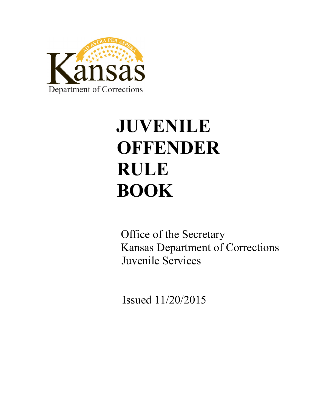

# **JUVENILE OFFENDER RULE BOOK**

 Office of the Secretary Kansas Department of Corrections Juvenile Services

Issued 11/20/2015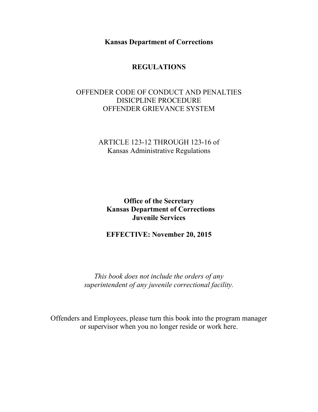**Kansas Department of Corrections**

# **REGULATIONS**

# OFFENDER CODE OF CONDUCT AND PENALTIES DISICPLINE PROCEDURE OFFENDER GRIEVANCE SYSTEM

# ARTICLE 123-12 THROUGH 123-16 of Kansas Administrative Regulations

**Office of the Secretary Kansas Department of Corrections Juvenile Services**

**EFFECTIVE: November 20, 2015**

*This book does not include the orders of any superintendent of any juvenile correctional facility.*

Offenders and Employees, please turn this book into the program manager or supervisor when you no longer reside or work here.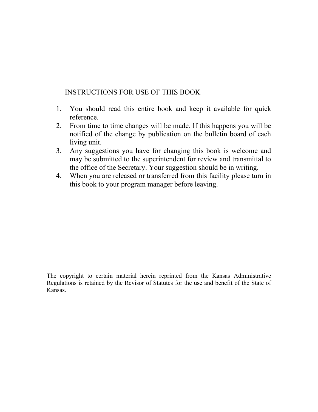# INSTRUCTIONS FOR USE OF THIS BOOK

- 1. You should read this entire book and keep it available for quick reference.
- 2. From time to time changes will be made. If this happens you will be notified of the change by publication on the bulletin board of each living unit.
- 3. Any suggestions you have for changing this book is welcome and may be submitted to the superintendent for review and transmittal to the office of the Secretary. Your suggestion should be in writing.
- 4. When you are released or transferred from this facility please turn in this book to your program manager before leaving.

The copyright to certain material herein reprinted from the Kansas Administrative Regulations is retained by the Revisor of Statutes for the use and benefit of the State of Kansas.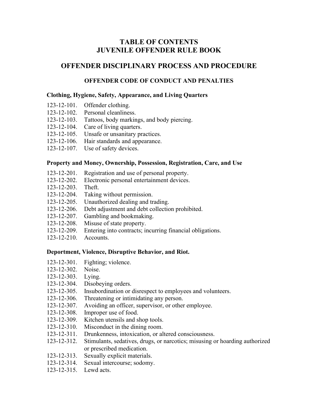# **TABLE OF CONTENTS JUVENILE OFFENDER RULE BOOK**

# **OFFENDER DISCIPLINARY PROCESS AND PROCEDURE**

## **OFFENDER CODE OF CONDUCT AND PENALTIES**

#### **Clothing, Hygiene, Safety, Appearance, and Living Quarters**

- 123-12-101. Offender clothing.
- 123-12-102. Personal cleanliness.
- 123-12-103. Tattoos, body markings, and body piercing.
- 123-12-104. Care of living quarters.
- 123-12-105. Unsafe or unsanitary practices.
- 123-12-106. Hair standards and appearance.
- 123-12-107. Use of safety devices.

#### **Property and Money, Ownership, Possession, Registration, Care, and Use**

- 123-12-201. Registration and use of personal property.
- 123-12-202. Electronic personal entertainment devices.
- 123-12-203. Theft.
- 123-12-204. Taking without permission.
- 123-12-205. Unauthorized dealing and trading.
- 123-12-206. Debt adjustment and debt collection prohibited.
- 123-12-207. Gambling and bookmaking.
- 123-12-208. Misuse of state property.
- 123-12-209. Entering into contracts; incurring financial obligations.
- 123-12-210. Accounts.

#### **Deportment, Violence, Disruptive Behavior, and Riot.**

- 123-12-301. Fighting; violence.
- 123-12-302. Noise.
- 123-12-303. Lying.
- 123-12-304. Disobeying orders.
- 123-12-305. Insubordination or disrespect to employees and volunteers.
- 123-12-306. Threatening or intimidating any person.
- 123-12-307. Avoiding an officer, supervisor, or other employee.
- 123-12-308. Improper use of food.
- 123-12-309. Kitchen utensils and shop tools.
- 123-12-310. Misconduct in the dining room.
- 123-12-311. Drunkenness, intoxication, or altered consciousness.
- 123-12-312. Stimulants, sedatives, drugs, or narcotics; misusing or hoarding authorized or prescribed medication.
- 123-12-313. Sexually explicit materials.
- 123-12-314. Sexual intercourse; sodomy.
- 123-12-315. Lewd acts.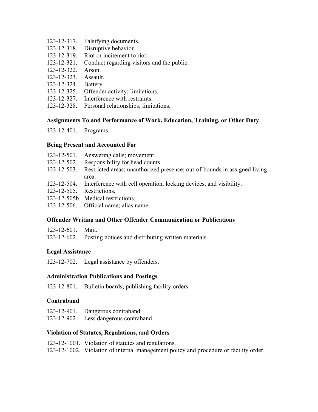- 123-12-317. Falsifying documents.
- 123-12-318. Disruptive behavior.
- 123-12-319. Riot or incitement to riot.
- 123-12-321. Conduct regarding visitors and the public.
- 123-12-322. Arson.
- 123-12-323. Assault.
- 123-12-324. Battery.
- 123-12-325. Offender activity; limitations.
- 123-12-327. Interference with restraints.
- 123-12-328. Personal relationships; limitations.

## **Assignments To and Performance of Work, Education, Training, or Other Duty**

123-12-401. Programs.

## **Being Present and Accounted For**

- 123-12-501. Answering calls; movement.
- 123-12-502. Responsibility for head counts.
- 123-12-503. Restricted areas; unauthorized presence; out-of-bounds in assigned living area.
- 123-12-504. Interference with cell operation, locking devices, and visibility.
- 123-12-505. Restrictions.
- 123-12-505b. Medical restrictions.
- 123-12-506. Official name; alias name.

## **Offender Writing and Other Offender Communication or Publications**

| $123 - 12 - 601$ .<br>Mail. |
|-----------------------------|
|-----------------------------|

123-12-602. Posting notices and distributing written materials.

## **Legal Assistance**

123-12-702. Legal assistance by offenders.

## **Administration Publications and Postings**

123-12-801. Bulletin boards; publishing facility orders.

## **Contraband**

- 123-12-901. Dangerous contraband.
- 123-12-902. Less dangerous contraband.

## **Violation of Statutes, Regulations, and Orders**

- 123-12-1001. Violation of statutes and regulations.
- 123-12-1002. Violation of internal management policy and procedure or facility order.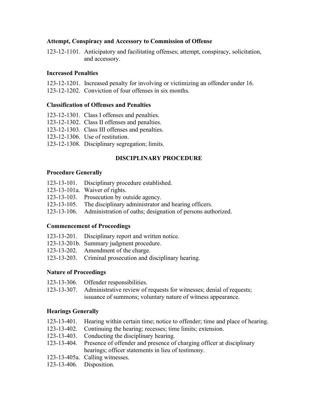## **Attempt, Conspiracy and Accessory to Commission of Offense**

123-12-1101. Anticipatory and facilitating offenses; attempt, conspiracy, solicitation, and accessory.

## **Increased Penalties**

- 123-12-1201. Increased penalty for involving or victimizing an offender under 16.
- 123-12-1202. Conviction of four offenses in six months.

## **Classification of Offenses and Penalties**

- 123-12-1301. Class I offenses and penalties.
- 123-12-1302. Class II offenses and penalties.
- 123-12-1303. Class III offenses and penalties.
- 123-12-1306. Use of restitution.
- 123-12-1308. Disciplinary segregation; limits.

## **DISCIPLINARY PROCEDURE**

## **Procedure Generally**

- 123-13-101. Disciplinary procedure established.
- 123-13-101a. Waiver of rights.
- 123-13-103. Prosecution by outside agency.
- 123-13-105. The disciplinary administrator and hearing officers.
- 123-13-106. Administration of oaths; designation of persons authorized.

## **Commencement of Proceedings**

- 123-13-201. Disciplinary report and written notice.
- 123-13-201b. Summary judgment procedure.
- 123-13-202. Amendment of the charge.
- 123-13-203. Criminal prosecution and disciplinary hearing.

## **Nature of Proceedings**

- 123-13-306. Offender responsibilities.
- 123-13-307. Administrative review of requests for witnesses; denial of requests; issuance of summons; voluntary nature of witness appearance.

## **Hearings Generally**

- 123-13-401. Hearing within certain time; notice to offender; time and place of hearing.
- 123-13-402. Continuing the hearing; recesses; time limits; extension.
- 123-13-403. Conducting the disciplinary hearing.
- 123-13-404. Presence of offender and presence of charging officer at disciplinary hearings; officer statements in lieu of testimony.
- 123-13-405a. Calling witnesses.
- 123-13-406. Disposition.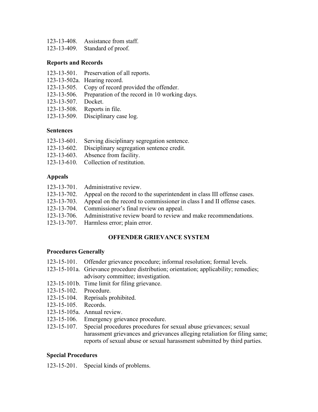- 123-13-408. Assistance from staff.
- 123-13-409. Standard of proof.

## **Reports and Records**

- 123-13-501. Preservation of all reports.
- 123-13-502a. Hearing record.
- 123-13-505. Copy of record provided the offender.
- 123-13-506. Preparation of the record in 10 working days.
- 123-13-507. Docket.
- 123-13-508. Reports in file.
- 123-13-509. Disciplinary case log.

## **Sentences**

- 123-13-601. Serving disciplinary segregation sentence.
- 123-13-602. Disciplinary segregation sentence credit.
- 123-13-603. Absence from facility.
- 123-13-610. Collection of restitution.

## **Appeals**

123-13-701. Administrative review. 123-13-702. Appeal on the record to the superintendent in class III offense cases. 123-13-703. Appeal on the record to commissioner in class I and II offense cases. 123-13-704. Commissioner's final review on appeal. 123-13-706. Administrative review board to review and make recommendations. 123-13-707. Harmless error; plain error.

## **OFFENDER GRIEVANCE SYSTEM**

## **Procedures Generally**

- 123-15-101. Offender grievance procedure; informal resolution; formal levels.
- 123-15-101a. Grievance procedure distribution; orientation; applicability; remedies; advisory committee; investigation.
- 123-15-101b. Time limit for filing grievance.
- 123-15-102. Procedure.
- 123-15-104. Reprisals prohibited.
- 123-15-105. Records.
- 123-15-105a. Annual review.
- 123-15-106. Emergency grievance procedure.
- 123-15-107. Special procedures procedures for sexual abuse grievances; sexual harassment grievances and grievances alleging retaliation for filing same; reports of sexual abuse or sexual harassment submitted by third parties.

## **Special Procedures**

123-15-201. Special kinds of problems.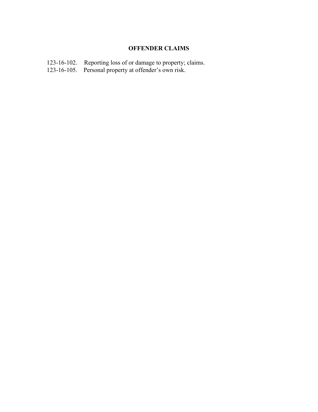# **OFFENDER CLAIMS**

- 123-16-102. Reporting loss of or damage to property; claims.
- 123-16-105. Personal property at offender's own risk.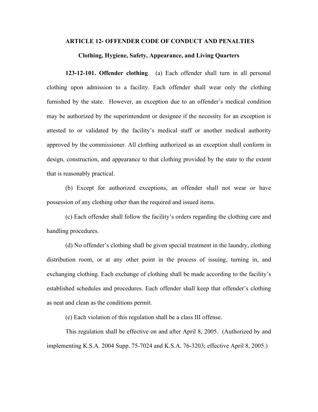#### **ARTICLE 12- OFFENDER CODE OF CONDUCT AND PENALTIES**

#### **Clothing, Hygiene, Safety, Appearance, and Living Quarters**

**123-12-101. Offender clothing**. (a) Each offender shall turn in all personal clothing upon admission to a facility. Each offender shall wear only the clothing furnished by the state. However, an exception due to an offender's medical condition may be authorized by the superintendent or designee if the necessity for an exception is attested to or validated by the facility's medical staff or another medical authority approved by the commissioner. All clothing authorized as an exception shall conform in design, construction, and appearance to that clothing provided by the state to the extent that is reasonably practical.

(b) Except for authorized exceptions, an offender shall not wear or have possession of any clothing other than the required and issued items.

(c) Each offender shall follow the facility's orders regarding the clothing care and handling procedures.

(d) No offender's clothing shall be given special treatment in the laundry, clothing distribution room, or at any other point in the process of issuing, turning in, and exchanging clothing. Each exchange of clothing shall be made according to the facility's established schedules and procedures. Each offender shall keep that offender's clothing as neat and clean as the conditions permit.

(e) Each violation of this regulation shall be a class III offense.

This regulation shall be effective on and after April 8, 2005. (Authorized by and implementing K.S.A. 2004 Supp. 75-7024 and K.S.A. 76-3203; effective April 8, 2005.)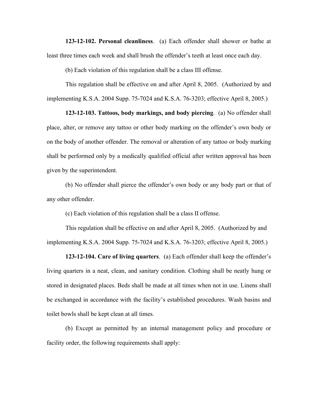**123-12-102. Personal cleanliness**. (a) Each offender shall shower or bathe at least three times each week and shall brush the offender's teeth at least once each day.

(b) Each violation of this regulation shall be a class III offense.

This regulation shall be effective on and after April 8, 2005. (Authorized by and implementing K.S.A. 2004 Supp. 75-7024 and K.S.A. 76-3203; effective April 8, 2005.)

**123-12-103. Tattoos, body markings, and body piercing**. (a) No offender shall place, alter, or remove any tattoo or other body marking on the offender's own body or on the body of another offender. The removal or alteration of any tattoo or body marking shall be performed only by a medically qualified official after written approval has been given by the superintendent.

(b) No offender shall pierce the offender's own body or any body part or that of any other offender.

(c) Each violation of this regulation shall be a class II offense.

This regulation shall be effective on and after April 8, 2005. (Authorized by and implementing K.S.A. 2004 Supp. 75-7024 and K.S.A. 76-3203; effective April 8, 2005.)

**123-12-104. Care of living quarters**. (a) Each offender shall keep the offender's living quarters in a neat, clean, and sanitary condition. Clothing shall be neatly hung or stored in designated places. Beds shall be made at all times when not in use. Linens shall be exchanged in accordance with the facility's established procedures. Wash basins and toilet bowls shall be kept clean at all times.

(b) Except as permitted by an internal management policy and procedure or facility order, the following requirements shall apply: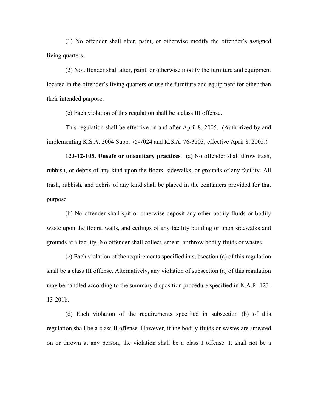(1) No offender shall alter, paint, or otherwise modify the offender's assigned living quarters.

(2) No offender shall alter, paint, or otherwise modify the furniture and equipment located in the offender's living quarters or use the furniture and equipment for other than their intended purpose.

(c) Each violation of this regulation shall be a class III offense.

This regulation shall be effective on and after April 8, 2005. (Authorized by and implementing K.S.A. 2004 Supp. 75-7024 and K.S.A. 76-3203; effective April 8, 2005.)

**123-12-105. Unsafe or unsanitary practices**. (a) No offender shall throw trash, rubbish, or debris of any kind upon the floors, sidewalks, or grounds of any facility. All trash, rubbish, and debris of any kind shall be placed in the containers provided for that purpose.

(b) No offender shall spit or otherwise deposit any other bodily fluids or bodily waste upon the floors, walls, and ceilings of any facility building or upon sidewalks and grounds at a facility. No offender shall collect, smear, or throw bodily fluids or wastes.

(c) Each violation of the requirements specified in subsection (a) of this regulation shall be a class III offense. Alternatively, any violation of subsection (a) of this regulation may be handled according to the summary disposition procedure specified in K.A.R. 123- 13-201b.

(d) Each violation of the requirements specified in subsection (b) of this regulation shall be a class II offense. However, if the bodily fluids or wastes are smeared on or thrown at any person, the violation shall be a class I offense. It shall not be a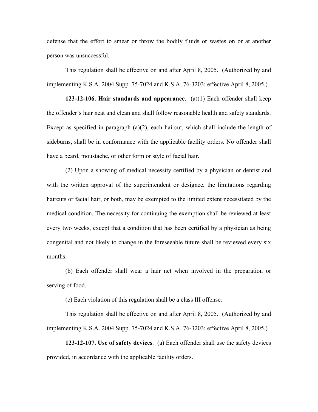defense that the effort to smear or throw the bodily fluids or wastes on or at another person was unsuccessful.

This regulation shall be effective on and after April 8, 2005. (Authorized by and implementing K.S.A. 2004 Supp. 75-7024 and K.S.A. 76-3203; effective April 8, 2005.)

**123-12-106. Hair standards and appearance**. (a)(1) Each offender shall keep the offender's hair neat and clean and shall follow reasonable health and safety standards. Except as specified in paragraph (a)(2), each haircut, which shall include the length of sideburns, shall be in conformance with the applicable facility orders. No offender shall have a beard, moustache, or other form or style of facial hair.

(2) Upon a showing of medical necessity certified by a physician or dentist and with the written approval of the superintendent or designee, the limitations regarding haircuts or facial hair, or both, may be exempted to the limited extent necessitated by the medical condition. The necessity for continuing the exemption shall be reviewed at least every two weeks, except that a condition that has been certified by a physician as being congenital and not likely to change in the foreseeable future shall be reviewed every six months.

(b) Each offender shall wear a hair net when involved in the preparation or serving of food.

(c) Each violation of this regulation shall be a class III offense.

This regulation shall be effective on and after April 8, 2005. (Authorized by and implementing K.S.A. 2004 Supp. 75-7024 and K.S.A. 76-3203; effective April 8, 2005.)

**123-12-107. Use of safety devices**. (a) Each offender shall use the safety devices provided, in accordance with the applicable facility orders.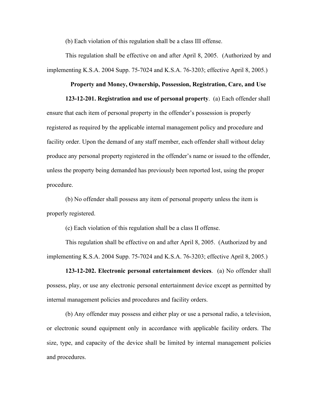(b) Each violation of this regulation shall be a class III offense.

This regulation shall be effective on and after April 8, 2005. (Authorized by and implementing K.S.A. 2004 Supp. 75-7024 and K.S.A. 76-3203; effective April 8, 2005.)

#### **Property and Money, Ownership, Possession, Registration, Care, and Use**

**123-12-201. Registration and use of personal property**. (a) Each offender shall

ensure that each item of personal property in the offender's possession is properly registered as required by the applicable internal management policy and procedure and facility order. Upon the demand of any staff member, each offender shall without delay produce any personal property registered in the offender's name or issued to the offender, unless the property being demanded has previously been reported lost, using the proper procedure.

(b) No offender shall possess any item of personal property unless the item is properly registered.

(c) Each violation of this regulation shall be a class II offense.

This regulation shall be effective on and after April 8, 2005. (Authorized by and implementing K.S.A. 2004 Supp. 75-7024 and K.S.A. 76-3203; effective April 8, 2005.)

**123-12-202. Electronic personal entertainment devices**. (a) No offender shall possess, play, or use any electronic personal entertainment device except as permitted by internal management policies and procedures and facility orders.

(b) Any offender may possess and either play or use a personal radio, a television, or electronic sound equipment only in accordance with applicable facility orders. The size, type, and capacity of the device shall be limited by internal management policies and procedures.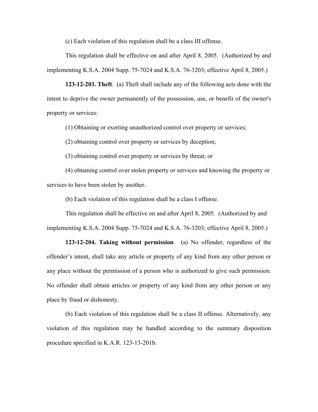(c) Each violation of this regulation shall be a class III offense.

This regulation shall be effective on and after April 8, 2005. (Authorized by and implementing K.S.A. 2004 Supp. 75-7024 and K.S.A. 76-3203; effective April 8, 2005.)

**123-12-203. Theft**. (a) Theft shall include any of the following acts done with the intent to deprive the owner permanently of the possession, use, or benefit of the owner's property or services:

(1) Obtaining or exerting unauthorized control over property or services;

(2) obtaining control over property or services by deception;

(3) obtaining control over property or services by threat; or

(4) obtaining control over stolen property or services and knowing the property or services to have been stolen by another.

(b) Each violation of this regulation shall be a class I offense.

This regulation shall be effective on and after April 8, 2005. (Authorized by and implementing K.S.A. 2004 Supp. 75-7024 and K.S.A. 76-3203; effective April 8, 2005.)

**123-12-204. Taking without permission**. (a) No offender, regardless of the offender's intent, shall take any article or property of any kind from any other person or any place without the permission of a person who is authorized to give such permission. No offender shall obtain articles or property of any kind from any other person or any place by fraud or dishonesty.

(b) Each violation of this regulation shall be a class II offense. Alternatively, any violation of this regulation may be handled according to the summary disposition procedure specified in K.A.R. 123-13-201b.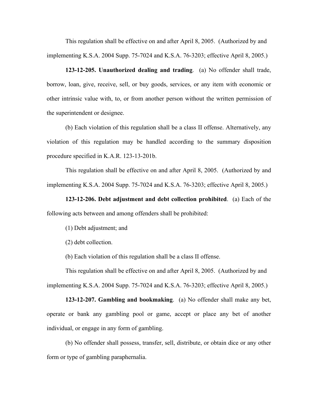This regulation shall be effective on and after April 8, 2005. (Authorized by and implementing K.S.A. 2004 Supp. 75-7024 and K.S.A. 76-3203; effective April 8, 2005.)

**123-12-205. Unauthorized dealing and trading**. (a) No offender shall trade, borrow, loan, give, receive, sell, or buy goods, services, or any item with economic or other intrinsic value with, to, or from another person without the written permission of the superintendent or designee.

(b) Each violation of this regulation shall be a class II offense. Alternatively, any violation of this regulation may be handled according to the summary disposition procedure specified in K.A.R. 123-13-201b.

This regulation shall be effective on and after April 8, 2005. (Authorized by and implementing K.S.A. 2004 Supp. 75-7024 and K.S.A. 76-3203; effective April 8, 2005.)

**123-12-206. Debt adjustment and debt collection prohibited**. (a) Each of the following acts between and among offenders shall be prohibited:

(1) Debt adjustment; and

(2) debt collection.

(b) Each violation of this regulation shall be a class II offense.

This regulation shall be effective on and after April 8, 2005. (Authorized by and implementing K.S.A. 2004 Supp. 75-7024 and K.S.A. 76-3203; effective April 8, 2005.)

**123-12-207. Gambling and bookmaking**. (a) No offender shall make any bet, operate or bank any gambling pool or game, accept or place any bet of another individual, or engage in any form of gambling.

(b) No offender shall possess, transfer, sell, distribute, or obtain dice or any other form or type of gambling paraphernalia.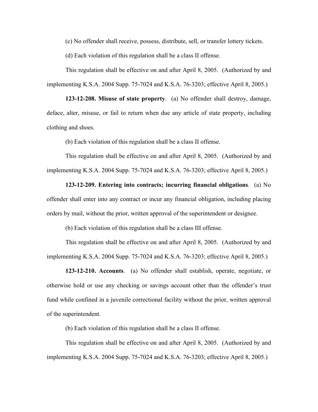(c) No offender shall receive, possess, distribute, sell, or transfer lottery tickets.

(d) Each violation of this regulation shall be a class II offense.

This regulation shall be effective on and after April 8, 2005. (Authorized by and implementing K.S.A. 2004 Supp. 75-7024 and K.S.A. 76-3203; effective April 8, 2005.)

**123-12-208. Misuse of state property**. (a) No offender shall destroy, damage, deface, alter, misuse, or fail to return when due any article of state property, including clothing and shoes.

(b) Each violation of this regulation shall be a class II offense.

This regulation shall be effective on and after April 8, 2005. (Authorized by and implementing K.S.A. 2004 Supp. 75-7024 and K.S.A. 76-3203; effective April 8, 2005.)

**123-12-209. Entering into contracts; incurring financial obligations**. (a) No offender shall enter into any contract or incur any financial obligation, including placing orders by mail, without the prior, written approval of the superintendent or designee.

(b) Each violation of this regulation shall be a class III offense.

This regulation shall be effective on and after April 8, 2005. (Authorized by and implementing K.S.A. 2004 Supp. 75-7024 and K.S.A. 76-3203; effective April 8, 2005.)

**123-12-210. Accounts**. (a) No offender shall establish, operate, negotiate, or otherwise hold or use any checking or savings account other than the offender's trust fund while confined in a juvenile correctional facility without the prior, written approval of the superintendent.

(b) Each violation of this regulation shall be a class II offense.

This regulation shall be effective on and after April 8, 2005. (Authorized by and implementing K.S.A. 2004 Supp. 75-7024 and K.S.A. 76-3203; effective April 8, 2005.)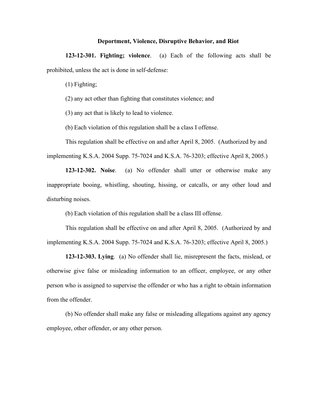#### **Deportment, Violence, Disruptive Behavior, and Riot**

**123-12-301. Fighting; violence**. (a) Each of the following acts shall be prohibited, unless the act is done in self-defense:

(1) Fighting;

(2) any act other than fighting that constitutes violence; and

(3) any act that is likely to lead to violence.

(b) Each violation of this regulation shall be a class I offense.

This regulation shall be effective on and after April 8, 2005. (Authorized by and implementing K.S.A. 2004 Supp. 75-7024 and K.S.A. 76-3203; effective April 8, 2005.)

**123-12-302. Noise**. (a) No offender shall utter or otherwise make any inappropriate booing, whistling, shouting, hissing, or catcalls, or any other loud and disturbing noises.

(b) Each violation of this regulation shall be a class III offense.

This regulation shall be effective on and after April 8, 2005. (Authorized by and implementing K.S.A. 2004 Supp. 75-7024 and K.S.A. 76-3203; effective April 8, 2005.)

**123-12-303. Lying**. (a) No offender shall lie, misrepresent the facts, mislead, or otherwise give false or misleading information to an officer, employee, or any other person who is assigned to supervise the offender or who has a right to obtain information from the offender.

(b) No offender shall make any false or misleading allegations against any agency employee, other offender, or any other person.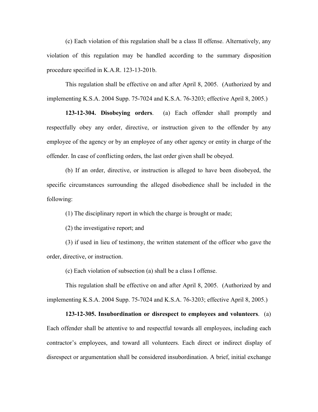(c) Each violation of this regulation shall be a class II offense. Alternatively, any violation of this regulation may be handled according to the summary disposition procedure specified in K.A.R. 123-13-201b.

This regulation shall be effective on and after April 8, 2005. (Authorized by and implementing K.S.A. 2004 Supp. 75-7024 and K.S.A. 76-3203; effective April 8, 2005.)

**123-12-304. Disobeying orders**. (a) Each offender shall promptly and respectfully obey any order, directive, or instruction given to the offender by any employee of the agency or by an employee of any other agency or entity in charge of the offender. In case of conflicting orders, the last order given shall be obeyed.

(b) If an order, directive, or instruction is alleged to have been disobeyed, the specific circumstances surrounding the alleged disobedience shall be included in the following:

(1) The disciplinary report in which the charge is brought or made;

(2) the investigative report; and

(3) if used in lieu of testimony, the written statement of the officer who gave the order, directive, or instruction.

(c) Each violation of subsection (a) shall be a class I offense.

This regulation shall be effective on and after April 8, 2005. (Authorized by and implementing K.S.A. 2004 Supp. 75-7024 and K.S.A. 76-3203; effective April 8, 2005.)

**123-12-305. Insubordination or disrespect to employees and volunteers**. (a) Each offender shall be attentive to and respectful towards all employees, including each contractor's employees, and toward all volunteers. Each direct or indirect display of disrespect or argumentation shall be considered insubordination. A brief, initial exchange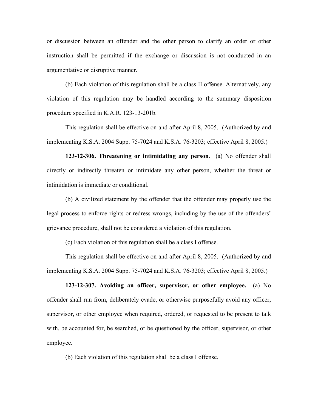or discussion between an offender and the other person to clarify an order or other instruction shall be permitted if the exchange or discussion is not conducted in an argumentative or disruptive manner.

(b) Each violation of this regulation shall be a class II offense. Alternatively, any violation of this regulation may be handled according to the summary disposition procedure specified in K.A.R. 123-13-201b.

This regulation shall be effective on and after April 8, 2005. (Authorized by and implementing K.S.A. 2004 Supp. 75-7024 and K.S.A. 76-3203; effective April 8, 2005.)

**123-12-306. Threatening or intimidating any person**. (a) No offender shall directly or indirectly threaten or intimidate any other person, whether the threat or intimidation is immediate or conditional.

(b) A civilized statement by the offender that the offender may properly use the legal process to enforce rights or redress wrongs, including by the use of the offenders' grievance procedure, shall not be considered a violation of this regulation.

(c) Each violation of this regulation shall be a class I offense.

This regulation shall be effective on and after April 8, 2005. (Authorized by and implementing K.S.A. 2004 Supp. 75-7024 and K.S.A. 76-3203; effective April 8, 2005.)

**123-12-307. Avoiding an officer, supervisor, or other employee.** (a) No offender shall run from, deliberately evade, or otherwise purposefully avoid any officer, supervisor, or other employee when required, ordered, or requested to be present to talk with, be accounted for, be searched, or be questioned by the officer, supervisor, or other employee.

(b) Each violation of this regulation shall be a class I offense.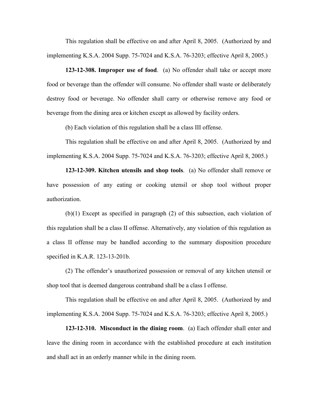This regulation shall be effective on and after April 8, 2005. (Authorized by and implementing K.S.A. 2004 Supp. 75-7024 and K.S.A. 76-3203; effective April 8, 2005.)

**123-12-308. Improper use of food**. (a) No offender shall take or accept more food or beverage than the offender will consume. No offender shall waste or deliberately destroy food or beverage. No offender shall carry or otherwise remove any food or beverage from the dining area or kitchen except as allowed by facility orders.

(b) Each violation of this regulation shall be a class III offense.

This regulation shall be effective on and after April 8, 2005. (Authorized by and implementing K.S.A. 2004 Supp. 75-7024 and K.S.A. 76-3203; effective April 8, 2005.)

**123-12-309. Kitchen utensils and shop tools**. (a) No offender shall remove or have possession of any eating or cooking utensil or shop tool without proper authorization.

(b)(1) Except as specified in paragraph (2) of this subsection, each violation of this regulation shall be a class II offense. Alternatively, any violation of this regulation as a class II offense may be handled according to the summary disposition procedure specified in K.A.R. 123-13-201b.

(2) The offender's unauthorized possession or removal of any kitchen utensil or shop tool that is deemed dangerous contraband shall be a class I offense.

This regulation shall be effective on and after April 8, 2005. (Authorized by and implementing K.S.A. 2004 Supp. 75-7024 and K.S.A. 76-3203; effective April 8, 2005.)

**123-12-310. Misconduct in the dining room**. (a) Each offender shall enter and leave the dining room in accordance with the established procedure at each institution and shall act in an orderly manner while in the dining room.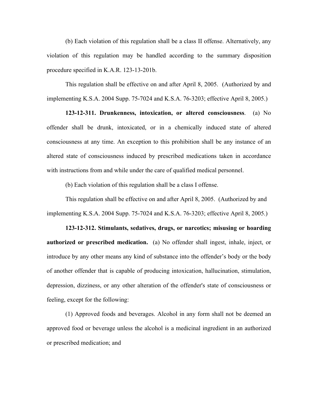(b) Each violation of this regulation shall be a class II offense. Alternatively, any violation of this regulation may be handled according to the summary disposition procedure specified in K.A.R. 123-13-201b.

This regulation shall be effective on and after April 8, 2005. (Authorized by and implementing K.S.A. 2004 Supp. 75-7024 and K.S.A. 76-3203; effective April 8, 2005.)

**123-12-311. Drunkenness, intoxication, or altered consciousness**. (a) No offender shall be drunk, intoxicated, or in a chemically induced state of altered consciousness at any time. An exception to this prohibition shall be any instance of an altered state of consciousness induced by prescribed medications taken in accordance with instructions from and while under the care of qualified medical personnel.

(b) Each violation of this regulation shall be a class I offense.

This regulation shall be effective on and after April 8, 2005. (Authorized by and implementing K.S.A. 2004 Supp. 75-7024 and K.S.A. 76-3203; effective April 8, 2005.)

**123-12-312. Stimulants, sedatives, drugs, or narcotics; misusing or hoarding authorized or prescribed medication.** (a) No offender shall ingest, inhale, inject, or introduce by any other means any kind of substance into the offender's body or the body of another offender that is capable of producing intoxication, hallucination, stimulation, depression, dizziness, or any other alteration of the offender's state of consciousness or feeling, except for the following:

(1) Approved foods and beverages. Alcohol in any form shall not be deemed an approved food or beverage unless the alcohol is a medicinal ingredient in an authorized or prescribed medication; and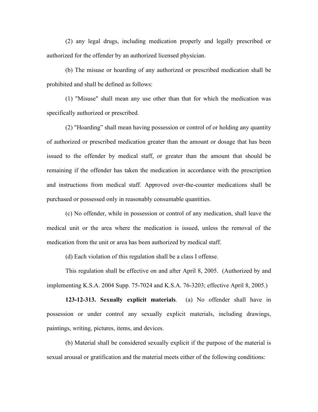(2) any legal drugs, including medication properly and legally prescribed or authorized for the offender by an authorized licensed physician.

(b) The misuse or hoarding of any authorized or prescribed medication shall be prohibited and shall be defined as follows:

(1) "Misuse" shall mean any use other than that for which the medication was specifically authorized or prescribed.

(2) "Hoarding" shall mean having possession or control of or holding any quantity of authorized or prescribed medication greater than the amount or dosage that has been issued to the offender by medical staff, or greater than the amount that should be remaining if the offender has taken the medication in accordance with the prescription and instructions from medical staff. Approved over-the-counter medications shall be purchased or possessed only in reasonably consumable quantities.

(c) No offender, while in possession or control of any medication, shall leave the medical unit or the area where the medication is issued, unless the removal of the medication from the unit or area has been authorized by medical staff.

(d) Each violation of this regulation shall be a class I offense.

This regulation shall be effective on and after April 8, 2005. (Authorized by and implementing K.S.A. 2004 Supp. 75-7024 and K.S.A. 76-3203; effective April 8, 2005.)

**123-12-313. Sexually explicit materials**. (a) No offender shall have in possession or under control any sexually explicit materials, including drawings, paintings, writing, pictures, items, and devices.

(b) Material shall be considered sexually explicit if the purpose of the material is sexual arousal or gratification and the material meets either of the following conditions: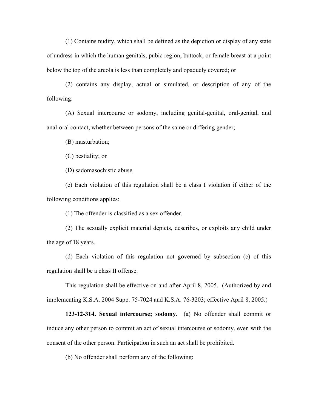(1) Contains nudity, which shall be defined as the depiction or display of any state of undress in which the human genitals, pubic region, buttock, or female breast at a point below the top of the areola is less than completely and opaquely covered; or

(2) contains any display, actual or simulated, or description of any of the following:

(A) Sexual intercourse or sodomy, including genital-genital, oral-genital, and anal-oral contact, whether between persons of the same or differing gender;

(B) masturbation;

(C) bestiality; or

(D) sadomasochistic abuse.

(c) Each violation of this regulation shall be a class I violation if either of the following conditions applies:

(1) The offender is classified as a sex offender.

(2) The sexually explicit material depicts, describes, or exploits any child under the age of 18 years.

(d) Each violation of this regulation not governed by subsection (c) of this regulation shall be a class II offense.

This regulation shall be effective on and after April 8, 2005. (Authorized by and implementing K.S.A. 2004 Supp. 75-7024 and K.S.A. 76-3203; effective April 8, 2005.)

**123-12-314. Sexual intercourse; sodomy**. (a) No offender shall commit or induce any other person to commit an act of sexual intercourse or sodomy, even with the consent of the other person. Participation in such an act shall be prohibited.

(b) No offender shall perform any of the following: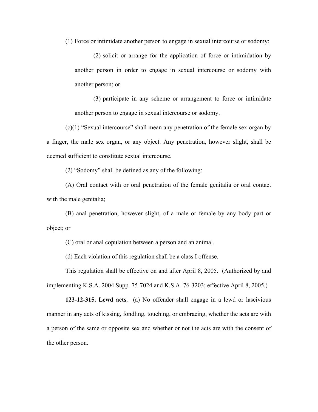(1) Force or intimidate another person to engage in sexual intercourse or sodomy;

(2) solicit or arrange for the application of force or intimidation by another person in order to engage in sexual intercourse or sodomy with another person; or

(3) participate in any scheme or arrangement to force or intimidate another person to engage in sexual intercourse or sodomy.

(c)(1) "Sexual intercourse" shall mean any penetration of the female sex organ by a finger, the male sex organ, or any object. Any penetration, however slight, shall be deemed sufficient to constitute sexual intercourse.

(2) "Sodomy" shall be defined as any of the following:

(A) Oral contact with or oral penetration of the female genitalia or oral contact with the male genitalia;

(B) anal penetration, however slight, of a male or female by any body part or object; or

(C) oral or anal copulation between a person and an animal.

(d) Each violation of this regulation shall be a class I offense.

This regulation shall be effective on and after April 8, 2005. (Authorized by and implementing K.S.A. 2004 Supp. 75-7024 and K.S.A. 76-3203; effective April 8, 2005.)

**123-12-315. Lewd acts**. (a) No offender shall engage in a lewd or lascivious manner in any acts of kissing, fondling, touching, or embracing, whether the acts are with a person of the same or opposite sex and whether or not the acts are with the consent of the other person.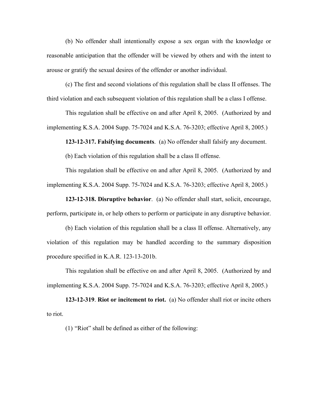(b) No offender shall intentionally expose a sex organ with the knowledge or reasonable anticipation that the offender will be viewed by others and with the intent to arouse or gratify the sexual desires of the offender or another individual.

(c) The first and second violations of this regulation shall be class II offenses. The third violation and each subsequent violation of this regulation shall be a class I offense.

This regulation shall be effective on and after April 8, 2005. (Authorized by and implementing K.S.A. 2004 Supp. 75-7024 and K.S.A. 76-3203; effective April 8, 2005.)

**123-12-317. Falsifying documents**. (a) No offender shall falsify any document.

(b) Each violation of this regulation shall be a class II offense.

This regulation shall be effective on and after April 8, 2005. (Authorized by and implementing K.S.A. 2004 Supp. 75-7024 and K.S.A. 76-3203; effective April 8, 2005.)

**123-12-318. Disruptive behavior**. (a) No offender shall start, solicit, encourage, perform, participate in, or help others to perform or participate in any disruptive behavior.

(b) Each violation of this regulation shall be a class II offense. Alternatively, any violation of this regulation may be handled according to the summary disposition procedure specified in K.A.R. 123-13-201b.

This regulation shall be effective on and after April 8, 2005. (Authorized by and implementing K.S.A. 2004 Supp. 75-7024 and K.S.A. 76-3203; effective April 8, 2005.)

**123-12-319**. **Riot or incitement to riot.** (a) No offender shall riot or incite others to riot.

(1) "Riot" shall be defined as either of the following: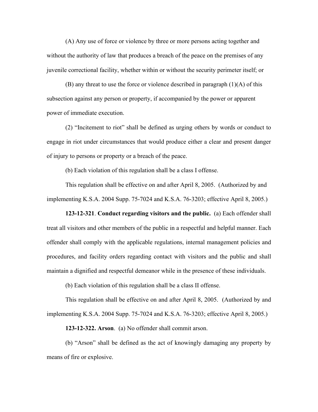(A) Any use of force or violence by three or more persons acting together and without the authority of law that produces a breach of the peace on the premises of any juvenile correctional facility, whether within or without the security perimeter itself; or

(B) any threat to use the force or violence described in paragraph (1)(A) of this subsection against any person or property, if accompanied by the power or apparent power of immediate execution.

(2) "Incitement to riot" shall be defined as urging others by words or conduct to engage in riot under circumstances that would produce either a clear and present danger of injury to persons or property or a breach of the peace.

(b) Each violation of this regulation shall be a class I offense.

This regulation shall be effective on and after April 8, 2005. (Authorized by and implementing K.S.A. 2004 Supp. 75-7024 and K.S.A. 76-3203; effective April 8, 2005.)

**123-12-321**. **Conduct regarding visitors and the public.** (a) Each offender shall treat all visitors and other members of the public in a respectful and helpful manner. Each offender shall comply with the applicable regulations, internal management policies and procedures, and facility orders regarding contact with visitors and the public and shall maintain a dignified and respectful demeanor while in the presence of these individuals.

(b) Each violation of this regulation shall be a class II offense.

This regulation shall be effective on and after April 8, 2005. (Authorized by and implementing K.S.A. 2004 Supp. 75-7024 and K.S.A. 76-3203; effective April 8, 2005.)

**123-12-322. Arson**. (a) No offender shall commit arson.

(b) "Arson" shall be defined as the act of knowingly damaging any property by means of fire or explosive.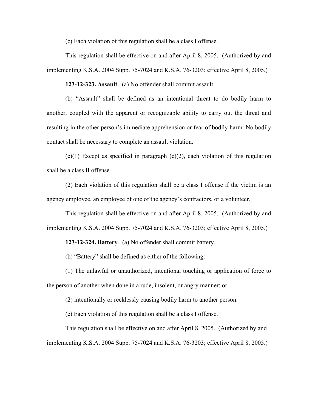(c) Each violation of this regulation shall be a class I offense.

This regulation shall be effective on and after April 8, 2005. (Authorized by and implementing K.S.A. 2004 Supp. 75-7024 and K.S.A. 76-3203; effective April 8, 2005.)

**123-12-323. Assault**. (a) No offender shall commit assault.

(b) "Assault" shall be defined as an intentional threat to do bodily harm to another, coupled with the apparent or recognizable ability to carry out the threat and resulting in the other person's immediate apprehension or fear of bodily harm. No bodily contact shall be necessary to complete an assault violation.

 $(c)(1)$  Except as specified in paragraph  $(c)(2)$ , each violation of this regulation shall be a class II offense.

(2) Each violation of this regulation shall be a class I offense if the victim is an agency employee, an employee of one of the agency's contractors, or a volunteer.

This regulation shall be effective on and after April 8, 2005. (Authorized by and implementing K.S.A. 2004 Supp. 75-7024 and K.S.A. 76-3203; effective April 8, 2005.)

**123-12-324. Battery**. (a) No offender shall commit battery.

(b) "Battery" shall be defined as either of the following:

(1) The unlawful or unauthorized, intentional touching or application of force to the person of another when done in a rude, insolent, or angry manner; or

(2) intentionally or recklessly causing bodily harm to another person.

(c) Each violation of this regulation shall be a class I offense.

This regulation shall be effective on and after April 8, 2005. (Authorized by and implementing K.S.A. 2004 Supp. 75-7024 and K.S.A. 76-3203; effective April 8, 2005.)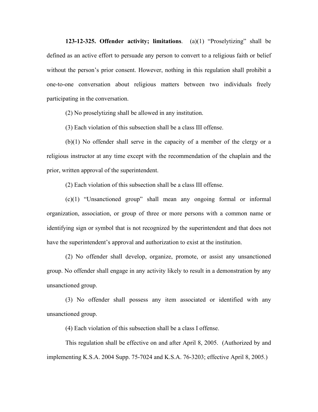**123-12-325. Offender activity; limitations**. (a)(1) "Proselytizing" shall be defined as an active effort to persuade any person to convert to a religious faith or belief without the person's prior consent. However, nothing in this regulation shall prohibit a one-to-one conversation about religious matters between two individuals freely participating in the conversation.

(2) No proselytizing shall be allowed in any institution.

(3) Each violation of this subsection shall be a class III offense.

(b)(1) No offender shall serve in the capacity of a member of the clergy or a religious instructor at any time except with the recommendation of the chaplain and the prior, written approval of the superintendent.

(2) Each violation of this subsection shall be a class III offense.

(c)(1) "Unsanctioned group" shall mean any ongoing formal or informal organization, association, or group of three or more persons with a common name or identifying sign or symbol that is not recognized by the superintendent and that does not have the superintendent's approval and authorization to exist at the institution.

(2) No offender shall develop, organize, promote, or assist any unsanctioned group. No offender shall engage in any activity likely to result in a demonstration by any unsanctioned group.

(3) No offender shall possess any item associated or identified with any unsanctioned group.

(4) Each violation of this subsection shall be a class I offense.

This regulation shall be effective on and after April 8, 2005. (Authorized by and implementing K.S.A. 2004 Supp. 75-7024 and K.S.A. 76-3203; effective April 8, 2005.)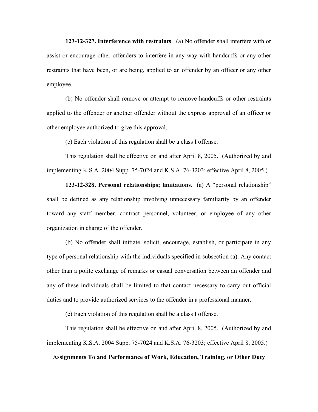**123-12-327. Interference with restraints**. (a) No offender shall interfere with or assist or encourage other offenders to interfere in any way with handcuffs or any other restraints that have been, or are being, applied to an offender by an officer or any other employee.

(b) No offender shall remove or attempt to remove handcuffs or other restraints applied to the offender or another offender without the express approval of an officer or other employee authorized to give this approval.

(c) Each violation of this regulation shall be a class I offense.

This regulation shall be effective on and after April 8, 2005. (Authorized by and implementing K.S.A. 2004 Supp. 75-7024 and K.S.A. 76-3203; effective April 8, 2005.)

**123-12-328. Personal relationships; limitations.** (a) A "personal relationship" shall be defined as any relationship involving unnecessary familiarity by an offender toward any staff member, contract personnel, volunteer, or employee of any other organization in charge of the offender.

(b) No offender shall initiate, solicit, encourage, establish, or participate in any type of personal relationship with the individuals specified in subsection (a). Any contact other than a polite exchange of remarks or casual conversation between an offender and any of these individuals shall be limited to that contact necessary to carry out official duties and to provide authorized services to the offender in a professional manner.

(c) Each violation of this regulation shall be a class I offense.

This regulation shall be effective on and after April 8, 2005. (Authorized by and implementing K.S.A. 2004 Supp. 75-7024 and K.S.A. 76-3203; effective April 8, 2005.)

**Assignments To and Performance of Work, Education, Training, or Other Duty**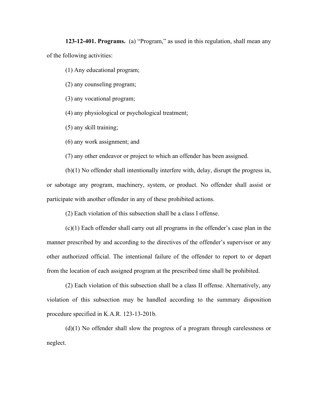**123-12-401. Programs.** (a) "Program," as used in this regulation, shall mean any of the following activities:

(1) Any educational program;

(2) any counseling program;

(3) any vocational program;

(4) any physiological or psychological treatment;

(5) any skill training;

(6) any work assignment; and

(7) any other endeavor or project to which an offender has been assigned.

(b)(1) No offender shall intentionally interfere with, delay, disrupt the progress in, or sabotage any program, machinery, system, or product. No offender shall assist or participate with another offender in any of these prohibited actions.

(2) Each violation of this subsection shall be a class I offense.

(c)(1) Each offender shall carry out all programs in the offender's case plan in the manner prescribed by and according to the directives of the offender's supervisor or any other authorized official. The intentional failure of the offender to report to or depart from the location of each assigned program at the prescribed time shall be prohibited.

(2) Each violation of this subsection shall be a class II offense. Alternatively, any violation of this subsection may be handled according to the summary disposition procedure specified in K.A.R. 123-13-201b.

(d)(1) No offender shall slow the progress of a program through carelessness or neglect.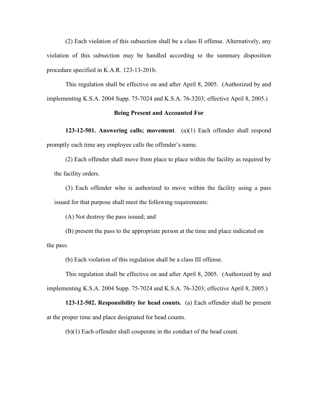(2) Each violation of this subsection shall be a class II offense. Alternatively, any violation of this subsection may be handled according to the summary disposition procedure specified in K.A.R. 123-13-201b.

This regulation shall be effective on and after April 8, 2005. (Authorized by and implementing K.S.A. 2004 Supp. 75-7024 and K.S.A. 76-3203; effective April 8, 2005.)

#### **Being Present and Accounted For**

**123-12-501. Answering calls; movement**. (a)(1) Each offender shall respond promptly each time any employee calls the offender's name.

(2) Each offender shall move from place to place within the facility as required by the facility orders.

(3) Each offender who is authorized to move within the facility using a pass issued for that purpose shall meet the following requirements:

(A) Not destroy the pass issued; and

(B) present the pass to the appropriate person at the time and place indicated on the pass.

(b) Each violation of this regulation shall be a class III offense.

This regulation shall be effective on and after April 8, 2005. (Authorized by and implementing K.S.A. 2004 Supp. 75-7024 and K.S.A. 76-3203; effective April 8, 2005.)

**123-12-502. Responsibility for head counts.** (a) Each offender shall be present at the proper time and place designated for head counts.

(b)(1) Each offender shall cooperate in the conduct of the head count.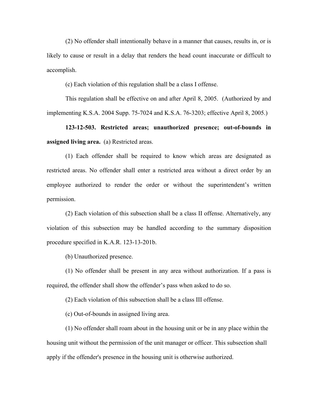(2) No offender shall intentionally behave in a manner that causes, results in, or is likely to cause or result in a delay that renders the head count inaccurate or difficult to accomplish.

(c) Each violation of this regulation shall be a class I offense.

This regulation shall be effective on and after April 8, 2005. (Authorized by and implementing K.S.A. 2004 Supp. 75-7024 and K.S.A. 76-3203; effective April 8, 2005.)

**123-12-503. Restricted areas; unauthorized presence; out-of-bounds in assigned living area.** (a) Restricted areas.

(1) Each offender shall be required to know which areas are designated as restricted areas. No offender shall enter a restricted area without a direct order by an employee authorized to render the order or without the superintendent's written permission.

(2) Each violation of this subsection shall be a class II offense. Alternatively, any violation of this subsection may be handled according to the summary disposition procedure specified in K.A.R. 123-13-201b.

(b) Unauthorized presence.

(1) No offender shall be present in any area without authorization. If a pass is required, the offender shall show the offender's pass when asked to do so.

(2) Each violation of this subsection shall be a class III offense.

(c) Out-of-bounds in assigned living area.

(1) No offender shall roam about in the housing unit or be in any place within the housing unit without the permission of the unit manager or officer. This subsection shall apply if the offender's presence in the housing unit is otherwise authorized.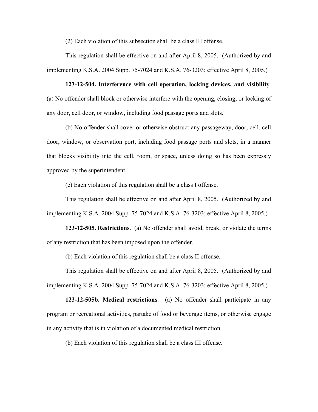(2) Each violation of this subsection shall be a class III offense.

This regulation shall be effective on and after April 8, 2005. (Authorized by and implementing K.S.A. 2004 Supp. 75-7024 and K.S.A. 76-3203; effective April 8, 2005.)

**123-12-504. Interference with cell operation, locking devices, and visibility**. (a) No offender shall block or otherwise interfere with the opening, closing, or locking of any door, cell door, or window, including food passage ports and slots.

(b) No offender shall cover or otherwise obstruct any passageway, door, cell, cell door, window, or observation port, including food passage ports and slots, in a manner that blocks visibility into the cell, room, or space, unless doing so has been expressly approved by the superintendent.

(c) Each violation of this regulation shall be a class I offense.

This regulation shall be effective on and after April 8, 2005. (Authorized by and implementing K.S.A. 2004 Supp. 75-7024 and K.S.A. 76-3203; effective April 8, 2005.)

**123-12-505. Restrictions**. (a) No offender shall avoid, break, or violate the terms of any restriction that has been imposed upon the offender.

(b) Each violation of this regulation shall be a class II offense.

This regulation shall be effective on and after April 8, 2005. (Authorized by and implementing K.S.A. 2004 Supp. 75-7024 and K.S.A. 76-3203; effective April 8, 2005.)

**123-12-505b. Medical restrictions**. (a) No offender shall participate in any program or recreational activities, partake of food or beverage items, or otherwise engage in any activity that is in violation of a documented medical restriction.

(b) Each violation of this regulation shall be a class III offense.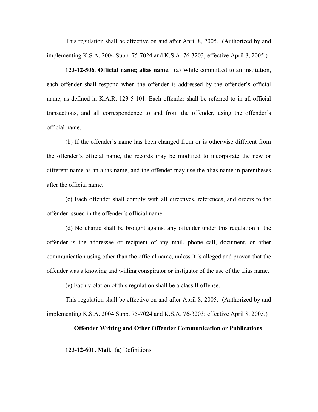This regulation shall be effective on and after April 8, 2005. (Authorized by and implementing K.S.A. 2004 Supp. 75-7024 and K.S.A. 76-3203; effective April 8, 2005.)

**123-12-506**. **Official name; alias name**. (a) While committed to an institution, each offender shall respond when the offender is addressed by the offender's official name, as defined in K.A.R. 123-5-101. Each offender shall be referred to in all official transactions, and all correspondence to and from the offender, using the offender's official name.

(b) If the offender's name has been changed from or is otherwise different from the offender's official name, the records may be modified to incorporate the new or different name as an alias name, and the offender may use the alias name in parentheses after the official name.

(c) Each offender shall comply with all directives, references, and orders to the offender issued in the offender's official name.

(d) No charge shall be brought against any offender under this regulation if the offender is the addressee or recipient of any mail, phone call, document, or other communication using other than the official name, unless it is alleged and proven that the offender was a knowing and willing conspirator or instigator of the use of the alias name.

(e) Each violation of this regulation shall be a class II offense.

This regulation shall be effective on and after April 8, 2005. (Authorized by and implementing K.S.A. 2004 Supp. 75-7024 and K.S.A. 76-3203; effective April 8, 2005.)

#### **Offender Writing and Other Offender Communication or Publications**

**123-12-601. Mail**. (a) Definitions.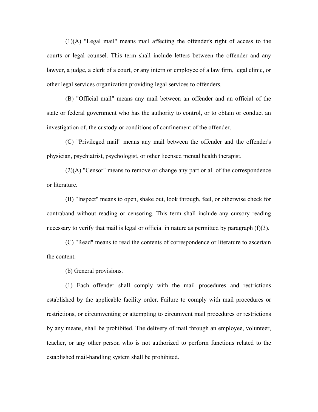(1)(A) "Legal mail" means mail affecting the offender's right of access to the courts or legal counsel. This term shall include letters between the offender and any lawyer, a judge, a clerk of a court, or any intern or employee of a law firm, legal clinic, or other legal services organization providing legal services to offenders.

(B) "Official mail" means any mail between an offender and an official of the state or federal government who has the authority to control, or to obtain or conduct an investigation of, the custody or conditions of confinement of the offender.

(C) "Privileged mail" means any mail between the offender and the offender's physician, psychiatrist, psychologist, or other licensed mental health therapist.

(2)(A) "Censor" means to remove or change any part or all of the correspondence or literature.

(B) "Inspect" means to open, shake out, look through, feel, or otherwise check for contraband without reading or censoring. This term shall include any cursory reading necessary to verify that mail is legal or official in nature as permitted by paragraph (f)(3).

(C) "Read" means to read the contents of correspondence or literature to ascertain the content.

(b) General provisions.

(1) Each offender shall comply with the mail procedures and restrictions established by the applicable facility order. Failure to comply with mail procedures or restrictions, or circumventing or attempting to circumvent mail procedures or restrictions by any means, shall be prohibited. The delivery of mail through an employee, volunteer, teacher, or any other person who is not authorized to perform functions related to the established mail-handling system shall be prohibited.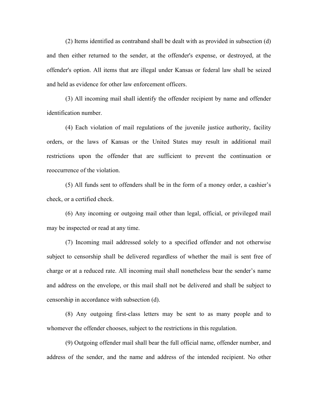(2) Items identified as contraband shall be dealt with as provided in subsection (d) and then either returned to the sender, at the offender's expense, or destroyed, at the offender's option. All items that are illegal under Kansas or federal law shall be seized and held as evidence for other law enforcement officers.

(3) All incoming mail shall identify the offender recipient by name and offender identification number.

(4) Each violation of mail regulations of the juvenile justice authority, facility orders, or the laws of Kansas or the United States may result in additional mail restrictions upon the offender that are sufficient to prevent the continuation or reoccurrence of the violation.

(5) All funds sent to offenders shall be in the form of a money order, a cashier's check, or a certified check.

(6) Any incoming or outgoing mail other than legal, official, or privileged mail may be inspected or read at any time.

(7) Incoming mail addressed solely to a specified offender and not otherwise subject to censorship shall be delivered regardless of whether the mail is sent free of charge or at a reduced rate. All incoming mail shall nonetheless bear the sender's name and address on the envelope, or this mail shall not be delivered and shall be subject to censorship in accordance with subsection (d).

(8) Any outgoing first-class letters may be sent to as many people and to whomever the offender chooses, subject to the restrictions in this regulation.

(9) Outgoing offender mail shall bear the full official name, offender number, and address of the sender, and the name and address of the intended recipient. No other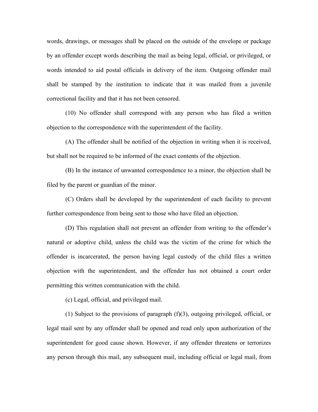words, drawings, or messages shall be placed on the outside of the envelope or package by an offender except words describing the mail as being legal, official, or privileged, or words intended to aid postal officials in delivery of the item. Outgoing offender mail shall be stamped by the institution to indicate that it was mailed from a juvenile correctional facility and that it has not been censored.

(10) No offender shall correspond with any person who has filed a written objection to the correspondence with the superintendent of the facility.

(A) The offender shall be notified of the objection in writing when it is received, but shall not be required to be informed of the exact contents of the objection.

(B) In the instance of unwanted correspondence to a minor, the objection shall be filed by the parent or guardian of the minor.

(C) Orders shall be developed by the superintendent of each facility to prevent further correspondence from being sent to those who have filed an objection.

(D) This regulation shall not prevent an offender from writing to the offender's natural or adoptive child, unless the child was the victim of the crime for which the offender is incarcerated, the person having legal custody of the child files a written objection with the superintendent, and the offender has not obtained a court order permitting this written communication with the child.

(c) Legal, official, and privileged mail.

(1) Subject to the provisions of paragraph (f)(3), outgoing privileged, official, or legal mail sent by any offender shall be opened and read only upon authorization of the superintendent for good cause shown. However, if any offender threatens or terrorizes any person through this mail, any subsequent mail, including official or legal mail, from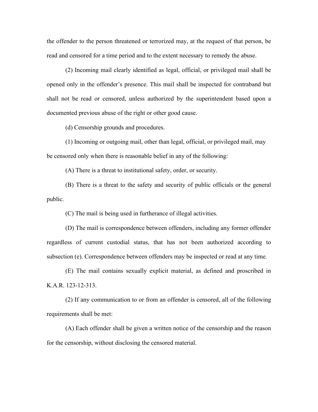the offender to the person threatened or terrorized may, at the request of that person, be read and censored for a time period and to the extent necessary to remedy the abuse.

(2) Incoming mail clearly identified as legal, official, or privileged mail shall be opened only in the offender's presence. This mail shall be inspected for contraband but shall not be read or censored, unless authorized by the superintendent based upon a documented previous abuse of the right or other good cause.

(d) Censorship grounds and procedures.

(1) Incoming or outgoing mail, other than legal, official, or privileged mail, may be censored only when there is reasonable belief in any of the following:

(A) There is a threat to institutional safety, order, or security.

(B) There is a threat to the safety and security of public officials or the general public.

(C) The mail is being used in furtherance of illegal activities.

(D) The mail is correspondence between offenders, including any former offender regardless of current custodial status, that has not been authorized according to subsection (e). Correspondence between offenders may be inspected or read at any time.

(E) The mail contains sexually explicit material, as defined and proscribed in K.A.R. 123-12-313.

(2) If any communication to or from an offender is censored, all of the following requirements shall be met:

(A) Each offender shall be given a written notice of the censorship and the reason for the censorship, without disclosing the censored material.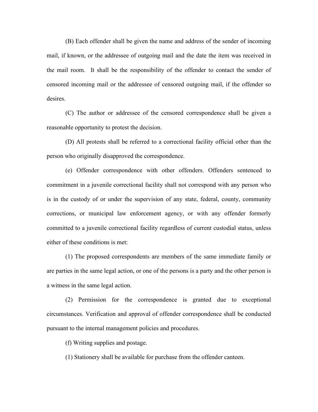(B) Each offender shall be given the name and address of the sender of incoming mail, if known, or the addressee of outgoing mail and the date the item was received in the mail room. It shall be the responsibility of the offender to contact the sender of censored incoming mail or the addressee of censored outgoing mail, if the offender so desires.

(C) The author or addressee of the censored correspondence shall be given a reasonable opportunity to protest the decision.

(D) All protests shall be referred to a correctional facility official other than the person who originally disapproved the correspondence.

(e) Offender correspondence with other offenders. Offenders sentenced to commitment in a juvenile correctional facility shall not correspond with any person who is in the custody of or under the supervision of any state, federal, county, community corrections, or municipal law enforcement agency, or with any offender formerly committed to a juvenile correctional facility regardless of current custodial status, unless either of these conditions is met:

(1) The proposed correspondents are members of the same immediate family or are parties in the same legal action, or one of the persons is a party and the other person is a witness in the same legal action.

(2) Permission for the correspondence is granted due to exceptional circumstances. Verification and approval of offender correspondence shall be conducted pursuant to the internal management policies and procedures.

(f) Writing supplies and postage.

(1) Stationery shall be available for purchase from the offender canteen.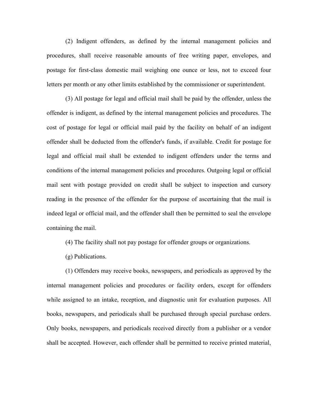(2) Indigent offenders, as defined by the internal management policies and procedures, shall receive reasonable amounts of free writing paper, envelopes, and postage for first-class domestic mail weighing one ounce or less, not to exceed four letters per month or any other limits established by the commissioner or superintendent.

(3) All postage for legal and official mail shall be paid by the offender, unless the offender is indigent, as defined by the internal management policies and procedures. The cost of postage for legal or official mail paid by the facility on behalf of an indigent offender shall be deducted from the offender's funds, if available. Credit for postage for legal and official mail shall be extended to indigent offenders under the terms and conditions of the internal management policies and procedures. Outgoing legal or official mail sent with postage provided on credit shall be subject to inspection and cursory reading in the presence of the offender for the purpose of ascertaining that the mail is indeed legal or official mail, and the offender shall then be permitted to seal the envelope containing the mail.

- (4) The facility shall not pay postage for offender groups or organizations.
- (g) Publications.

(1) Offenders may receive books, newspapers, and periodicals as approved by the internal management policies and procedures or facility orders, except for offenders while assigned to an intake, reception, and diagnostic unit for evaluation purposes. All books, newspapers, and periodicals shall be purchased through special purchase orders. Only books, newspapers, and periodicals received directly from a publisher or a vendor shall be accepted. However, each offender shall be permitted to receive printed material,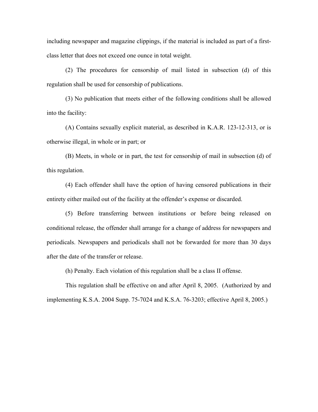including newspaper and magazine clippings, if the material is included as part of a firstclass letter that does not exceed one ounce in total weight.

(2) The procedures for censorship of mail listed in subsection (d) of this regulation shall be used for censorship of publications.

(3) No publication that meets either of the following conditions shall be allowed into the facility:

(A) Contains sexually explicit material, as described in K.A.R. [123-12-313,](javascript:docLink() or is otherwise illegal, in whole or in part; or

(B) Meets, in whole or in part, the test for censorship of mail in subsection (d) of this regulation.

(4) Each offender shall have the option of having censored publications in their entirety either mailed out of the facility at the offender's expense or discarded.

(5) Before transferring between institutions or before being released on conditional release, the offender shall arrange for a change of address for newspapers and periodicals. Newspapers and periodicals shall not be forwarded for more than 30 days after the date of the transfer or release.

(h) Penalty. Each violation of this regulation shall be a class II offense.

This regulation shall be effective on and after April 8, 2005. (Authorized by and implementing K.S.A. 2004 Supp. 75-7024 and K.S.A. 76-3203; effective April 8, 2005.)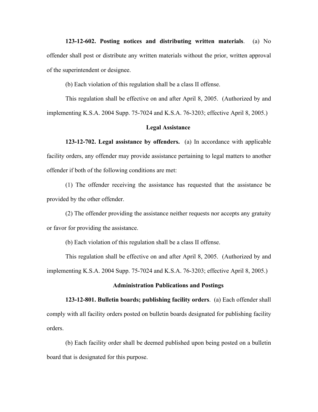**123-12-602. Posting notices and distributing written materials**. (a) No offender shall post or distribute any written materials without the prior, written approval of the superintendent or designee.

(b) Each violation of this regulation shall be a class II offense.

This regulation shall be effective on and after April 8, 2005. (Authorized by and implementing K.S.A. 2004 Supp. 75-7024 and K.S.A. 76-3203; effective April 8, 2005.)

# **Legal Assistance**

**123-12-702. Legal assistance by offenders.** (a) In accordance with applicable facility orders, any offender may provide assistance pertaining to legal matters to another offender if both of the following conditions are met:

(1) The offender receiving the assistance has requested that the assistance be provided by the other offender.

(2) The offender providing the assistance neither requests nor accepts any gratuity or favor for providing the assistance.

(b) Each violation of this regulation shall be a class II offense.

This regulation shall be effective on and after April 8, 2005. (Authorized by and implementing K.S.A. 2004 Supp. 75-7024 and K.S.A. 76-3203; effective April 8, 2005.)

### **Administration Publications and Postings**

**123-12-801. Bulletin boards; publishing facility orders**. (a) Each offender shall comply with all facility orders posted on bulletin boards designated for publishing facility orders.

(b) Each facility order shall be deemed published upon being posted on a bulletin board that is designated for this purpose.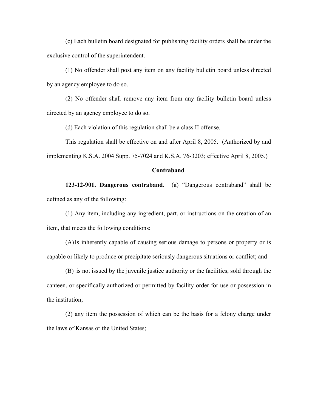(c) Each bulletin board designated for publishing facility orders shall be under the exclusive control of the superintendent.

(1) No offender shall post any item on any facility bulletin board unless directed by an agency employee to do so.

(2) No offender shall remove any item from any facility bulletin board unless directed by an agency employee to do so.

(d) Each violation of this regulation shall be a class II offense.

This regulation shall be effective on and after April 8, 2005. (Authorized by and implementing K.S.A. 2004 Supp. 75-7024 and K.S.A. 76-3203; effective April 8, 2005.)

# **Contraband**

**123-12-901. Dangerous contraband**. (a) "Dangerous contraband" shall be defined as any of the following:

(1) Any item, including any ingredient, part, or instructions on the creation of an item, that meets the following conditions:

(A)Is inherently capable of causing serious damage to persons or property or is capable or likely to produce or precipitate seriously dangerous situations or conflict; and

(B) is not issued by the juvenile justice authority or the facilities, sold through the canteen, or specifically authorized or permitted by facility order for use or possession in the institution;

(2) any item the possession of which can be the basis for a felony charge under the laws of Kansas or the United States;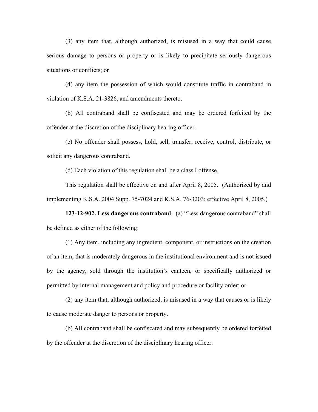(3) any item that, although authorized, is misused in a way that could cause serious damage to persons or property or is likely to precipitate seriously dangerous situations or conflicts; or

(4) any item the possession of which would constitute traffic in contraband in violation of K.S.A. 21-3826, and amendments thereto.

(b) All contraband shall be confiscated and may be ordered forfeited by the offender at the discretion of the disciplinary hearing officer.

(c) No offender shall possess, hold, sell, transfer, receive, control, distribute, or solicit any dangerous contraband.

(d) Each violation of this regulation shall be a class I offense.

This regulation shall be effective on and after April 8, 2005. (Authorized by and implementing K.S.A. 2004 Supp. 75-7024 and K.S.A. 76-3203; effective April 8, 2005.)

**123-12-902. Less dangerous contraband**. (a) "Less dangerous contraband" shall be defined as either of the following:

(1) Any item, including any ingredient, component, or instructions on the creation of an item, that is moderately dangerous in the institutional environment and is not issued by the agency, sold through the institution's canteen, or specifically authorized or permitted by internal management and policy and procedure or facility order; or

(2) any item that, although authorized, is misused in a way that causes or is likely to cause moderate danger to persons or property.

(b) All contraband shall be confiscated and may subsequently be ordered forfeited by the offender at the discretion of the disciplinary hearing officer.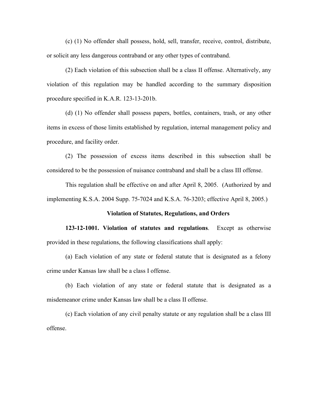(c) (1) No offender shall possess, hold, sell, transfer, receive, control, distribute, or solicit any less dangerous contraband or any other types of contraband.

(2) Each violation of this subsection shall be a class II offense. Alternatively, any violation of this regulation may be handled according to the summary disposition procedure specified in K.A.R. 123-13-201b.

(d) (1) No offender shall possess papers, bottles, containers, trash, or any other items in excess of those limits established by regulation, internal management policy and procedure, and facility order.

(2) The possession of excess items described in this subsection shall be considered to be the possession of nuisance contraband and shall be a class III offense.

This regulation shall be effective on and after April 8, 2005. (Authorized by and implementing K.S.A. 2004 Supp. 75-7024 and K.S.A. 76-3203; effective April 8, 2005.)

### **Violation of Statutes, Regulations, and Orders**

**123-12-1001. Violation of statutes and regulations**. Except as otherwise provided in these regulations, the following classifications shall apply:

(a) Each violation of any state or federal statute that is designated as a felony crime under Kansas law shall be a class I offense.

(b) Each violation of any state or federal statute that is designated as a misdemeanor crime under Kansas law shall be a class II offense.

(c) Each violation of any civil penalty statute or any regulation shall be a class III offense.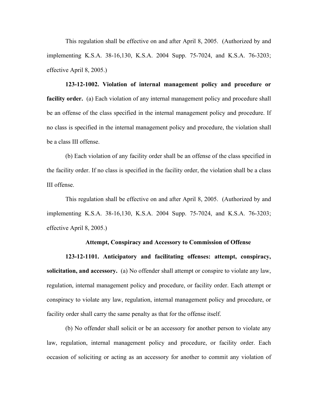This regulation shall be effective on and after April 8, 2005. (Authorized by and implementing K.S.A. 38-16,130, K.S.A. 2004 Supp. 75-7024, and K.S.A. 76-3203; effective April 8, 2005.)

**123-12-1002. Violation of internal management policy and procedure or facility order.** (a) Each violation of any internal management policy and procedure shall be an offense of the class specified in the internal management policy and procedure. If no class is specified in the internal management policy and procedure, the violation shall be a class III offense.

(b) Each violation of any facility order shall be an offense of the class specified in the facility order. If no class is specified in the facility order, the violation shall be a class III offense.

This regulation shall be effective on and after April 8, 2005. (Authorized by and implementing K.S.A. 38-16,130, K.S.A. 2004 Supp. 75-7024, and K.S.A. 76-3203; effective April 8, 2005.)

# **Attempt, Conspiracy and Accessory to Commission of Offense**

**123-12-1101. Anticipatory and facilitating offenses: attempt, conspiracy, solicitation, and accessory.** (a) No offender shall attempt or conspire to violate any law, regulation, internal management policy and procedure, or facility order. Each attempt or conspiracy to violate any law, regulation, internal management policy and procedure, or facility order shall carry the same penalty as that for the offense itself.

(b) No offender shall solicit or be an accessory for another person to violate any law, regulation, internal management policy and procedure, or facility order. Each occasion of soliciting or acting as an accessory for another to commit any violation of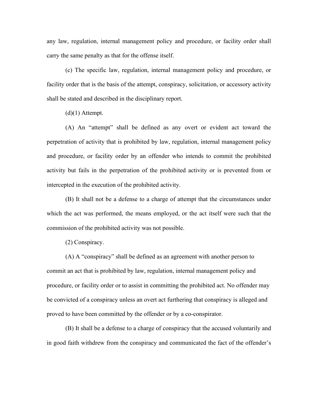any law, regulation, internal management policy and procedure, or facility order shall carry the same penalty as that for the offense itself.

(c) The specific law, regulation, internal management policy and procedure, or facility order that is the basis of the attempt, conspiracy, solicitation, or accessory activity shall be stated and described in the disciplinary report.

 $(d)(1)$  Attempt.

(A) An "attempt" shall be defined as any overt or evident act toward the perpetration of activity that is prohibited by law, regulation, internal management policy and procedure, or facility order by an offender who intends to commit the prohibited activity but fails in the perpetration of the prohibited activity or is prevented from or intercepted in the execution of the prohibited activity.

(B) It shall not be a defense to a charge of attempt that the circumstances under which the act was performed, the means employed, or the act itself were such that the commission of the prohibited activity was not possible.

(2) Conspiracy.

(A) A "conspiracy" shall be defined as an agreement with another person to commit an act that is prohibited by law, regulation, internal management policy and procedure, or facility order or to assist in committing the prohibited act. No offender may be convicted of a conspiracy unless an overt act furthering that conspiracy is alleged and proved to have been committed by the offender or by a co-conspirator.

(B) It shall be a defense to a charge of conspiracy that the accused voluntarily and in good faith withdrew from the conspiracy and communicated the fact of the offender's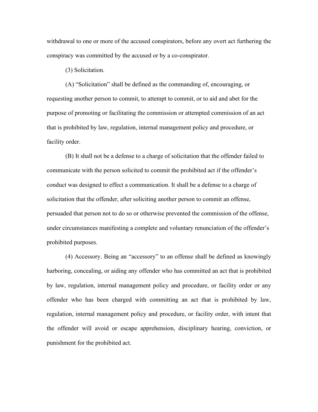withdrawal to one or more of the accused conspirators, before any overt act furthering the conspiracy was committed by the accused or by a co-conspirator.

(3) Solicitation.

(A) "Solicitation" shall be defined as the commanding of, encouraging, or requesting another person to commit, to attempt to commit, or to aid and abet for the purpose of promoting or facilitating the commission or attempted commission of an act that is prohibited by law, regulation, internal management policy and procedure, or facility order.

(B) It shall not be a defense to a charge of solicitation that the offender failed to communicate with the person solicited to commit the prohibited act if the offender's conduct was designed to effect a communication. It shall be a defense to a charge of solicitation that the offender, after soliciting another person to commit an offense, persuaded that person not to do so or otherwise prevented the commission of the offense, under circumstances manifesting a complete and voluntary renunciation of the offender's prohibited purposes.

(4) Accessory. Being an "accessory" to an offense shall be defined as knowingly harboring, concealing, or aiding any offender who has committed an act that is prohibited by law, regulation, internal management policy and procedure, or facility order or any offender who has been charged with committing an act that is prohibited by law, regulation, internal management policy and procedure, or facility order, with intent that the offender will avoid or escape apprehension, disciplinary hearing, conviction, or punishment for the prohibited act.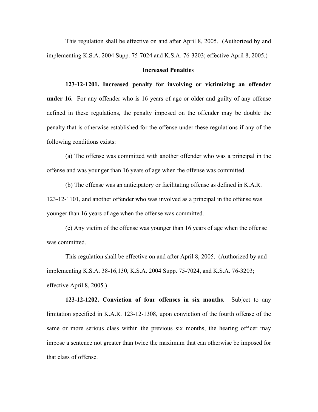This regulation shall be effective on and after April 8, 2005. (Authorized by and implementing K.S.A. 2004 Supp. 75-7024 and K.S.A. 76-3203; effective April 8, 2005.)

# **Increased Penalties**

**123-12-1201. Increased penalty for involving or victimizing an offender under 16.** For any offender who is 16 years of age or older and guilty of any offense defined in these regulations, the penalty imposed on the offender may be double the penalty that is otherwise established for the offense under these regulations if any of the following conditions exists:

(a) The offense was committed with another offender who was a principal in the offense and was younger than 16 years of age when the offense was committed.

(b) The offense was an anticipatory or facilitating offense as defined in K.A.R. 123-12-1101, and another offender who was involved as a principal in the offense was younger than 16 years of age when the offense was committed.

(c) Any victim of the offense was younger than 16 years of age when the offense was committed.

This regulation shall be effective on and after April 8, 2005. (Authorized by and implementing K.S.A. 38-16,130, K.S.A. 2004 Supp. 75-7024, and K.S.A. 76-3203; effective April 8, 2005.)

**123-12-1202. Conviction of four offenses in six months**. Subject to any limitation specified in K.A.R. 123-12-1308, upon conviction of the fourth offense of the same or more serious class within the previous six months, the hearing officer may impose a sentence not greater than twice the maximum that can otherwise be imposed for that class of offense.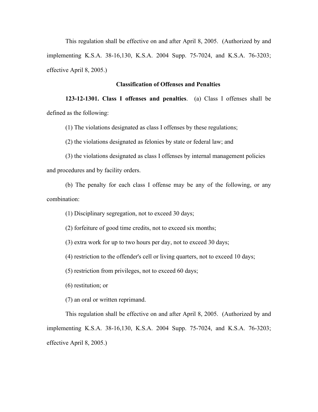This regulation shall be effective on and after April 8, 2005. (Authorized by and implementing K.S.A. 38-16,130, K.S.A. 2004 Supp. 75-7024, and K.S.A. 76-3203; effective April 8, 2005.)

# **Classification of Offenses and Penalties**

**123-12-1301. Class I offenses and penalties**. (a) Class I offenses shall be defined as the following:

(1) The violations designated as class I offenses by these regulations;

(2) the violations designated as felonies by state or federal law; and

(3) the violations designated as class I offenses by internal management policies and procedures and by facility orders.

(b) The penalty for each class I offense may be any of the following, or any combination:

(1) Disciplinary segregation, not to exceed 30 days;

(2) forfeiture of good time credits, not to exceed six months;

(3) extra work for up to two hours per day, not to exceed 30 days;

(4) restriction to the offender's cell or living quarters, not to exceed 10 days;

(5) restriction from privileges, not to exceed 60 days;

(6) restitution; or

(7) an oral or written reprimand.

This regulation shall be effective on and after April 8, 2005. (Authorized by and implementing K.S.A. 38-16,130, K.S.A. 2004 Supp. 75-7024, and K.S.A. 76-3203; effective April 8, 2005.)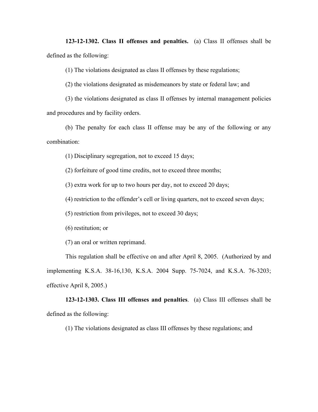**123-12-1302. Class II offenses and penalties.** (a) Class II offenses shall be defined as the following:

(1) The violations designated as class II offenses by these regulations;

(2) the violations designated as misdemeanors by state or federal law; and

(3) the violations designated as class II offenses by internal management policies and procedures and by facility orders.

(b) The penalty for each class II offense may be any of the following or any combination:

(1) Disciplinary segregation, not to exceed 15 days;

(2) forfeiture of good time credits, not to exceed three months;

(3) extra work for up to two hours per day, not to exceed 20 days;

(4) restriction to the offender's cell or living quarters, not to exceed seven days;

(5) restriction from privileges, not to exceed 30 days;

(6) restitution; or

(7) an oral or written reprimand.

This regulation shall be effective on and after April 8, 2005. (Authorized by and implementing K.S.A. 38-16,130, K.S.A. 2004 Supp. 75-7024, and K.S.A. 76-3203; effective April 8, 2005.)

**123-12-1303. Class III offenses and penalties**. (a) Class III offenses shall be defined as the following:

(1) The violations designated as class III offenses by these regulations; and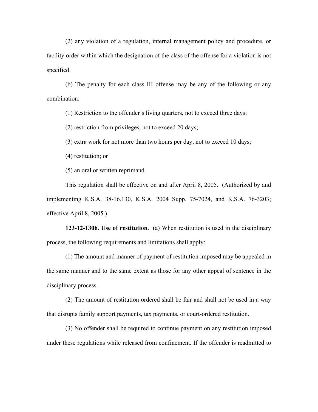(2) any violation of a regulation, internal management policy and procedure, or facility order within which the designation of the class of the offense for a violation is not specified.

(b) The penalty for each class III offense may be any of the following or any combination:

(1) Restriction to the offender's living quarters, not to exceed three days;

(2) restriction from privileges, not to exceed 20 days;

(3) extra work for not more than two hours per day, not to exceed 10 days;

(4) restitution; or

(5) an oral or written reprimand.

This regulation shall be effective on and after April 8, 2005. (Authorized by and implementing K.S.A. 38-16,130, K.S.A. 2004 Supp. 75-7024, and K.S.A. 76-3203; effective April 8, 2005.)

**123-12-1306. Use of restitution**. (a) When restitution is used in the disciplinary process, the following requirements and limitations shall apply:

(1) The amount and manner of payment of restitution imposed may be appealed in the same manner and to the same extent as those for any other appeal of sentence in the disciplinary process.

(2) The amount of restitution ordered shall be fair and shall not be used in a way that disrupts family support payments, tax payments, or court-ordered restitution.

(3) No offender shall be required to continue payment on any restitution imposed under these regulations while released from confinement. If the offender is readmitted to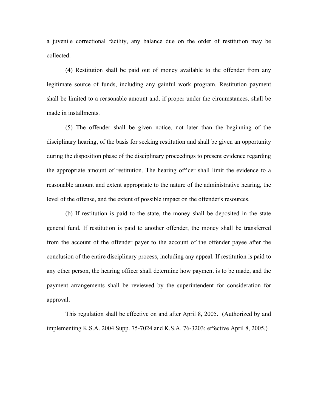a juvenile correctional facility, any balance due on the order of restitution may be collected.

(4) Restitution shall be paid out of money available to the offender from any legitimate source of funds, including any gainful work program. Restitution payment shall be limited to a reasonable amount and, if proper under the circumstances, shall be made in installments.

(5) The offender shall be given notice, not later than the beginning of the disciplinary hearing, of the basis for seeking restitution and shall be given an opportunity during the disposition phase of the disciplinary proceedings to present evidence regarding the appropriate amount of restitution. The hearing officer shall limit the evidence to a reasonable amount and extent appropriate to the nature of the administrative hearing, the level of the offense, and the extent of possible impact on the offender's resources.

(b) If restitution is paid to the state, the money shall be deposited in the state general fund. If restitution is paid to another offender, the money shall be transferred from the account of the offender payer to the account of the offender payee after the conclusion of the entire disciplinary process, including any appeal. If restitution is paid to any other person, the hearing officer shall determine how payment is to be made, and the payment arrangements shall be reviewed by the superintendent for consideration for approval.

This regulation shall be effective on and after April 8, 2005. (Authorized by and implementing K.S.A. 2004 Supp. 75-7024 and K.S.A. 76-3203; effective April 8, 2005.)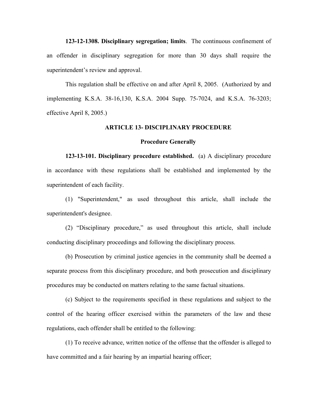**123-12-1308. Disciplinary segregation; limits**. The continuous confinement of an offender in disciplinary segregation for more than 30 days shall require the superintendent's review and approval.

This regulation shall be effective on and after April 8, 2005. (Authorized by and implementing K.S.A. 38-16,130, K.S.A. 2004 Supp. 75-7024, and K.S.A. 76-3203; effective April 8, 2005.)

### **ARTICLE 13- DISCIPLINARY PROCEDURE**

#### **Procedure Generally**

**123-13-101. Disciplinary procedure established.** (a) A disciplinary procedure in accordance with these regulations shall be established and implemented by the superintendent of each facility.

(1) "Superintendent," as used throughout this article, shall include the superintendent's designee.

(2) "Disciplinary procedure," as used throughout this article, shall include conducting disciplinary proceedings and following the disciplinary process.

(b) Prosecution by criminal justice agencies in the community shall be deemed a separate process from this disciplinary procedure, and both prosecution and disciplinary procedures may be conducted on matters relating to the same factual situations.

(c) Subject to the requirements specified in these regulations and subject to the control of the hearing officer exercised within the parameters of the law and these regulations, each offender shall be entitled to the following:

(1) To receive advance, written notice of the offense that the offender is alleged to have committed and a fair hearing by an impartial hearing officer;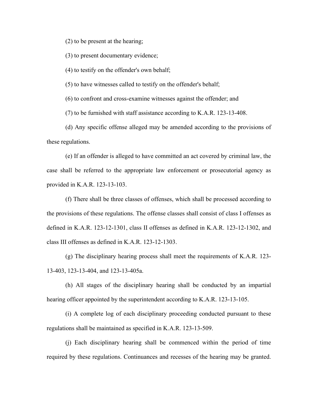(2) to be present at the hearing;

(3) to present documentary evidence;

(4) to testify on the offender's own behalf;

(5) to have witnesses called to testify on the offender's behalf;

(6) to confront and cross-examine witnesses against the offender; and

(7) to be furnished with staff assistance according to K.A.R. 123-13-408.

(d) Any specific offense alleged may be amended according to the provisions of these regulations.

(e) If an offender is alleged to have committed an act covered by criminal law, the case shall be referred to the appropriate law enforcement or prosecutorial agency as provided in K.A.R. 123-13-103.

(f) There shall be three classes of offenses, which shall be processed according to the provisions of these regulations. The offense classes shall consist of class I offenses as defined in K.A.R. 123-12-1301, class II offenses as defined in K.A.R. 123-12-1302, and class III offenses as defined in K.A.R. 123-12-1303.

(g) The disciplinary hearing process shall meet the requirements of K.A.R. 123- 13-403, 123-13-404, and 123-13-405a.

(h) All stages of the disciplinary hearing shall be conducted by an impartial hearing officer appointed by the superintendent according to K.A.R. 123-13-105.

(i) A complete log of each disciplinary proceeding conducted pursuant to these regulations shall be maintained as specified in K.A.R. 123-13-509.

(j) Each disciplinary hearing shall be commenced within the period of time required by these regulations. Continuances and recesses of the hearing may be granted.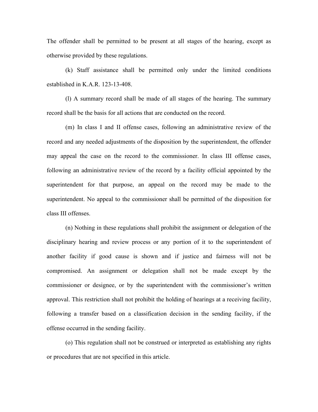The offender shall be permitted to be present at all stages of the hearing, except as otherwise provided by these regulations.

(k) Staff assistance shall be permitted only under the limited conditions established in K.A.R. 123-13-408.

(l) A summary record shall be made of all stages of the hearing. The summary record shall be the basis for all actions that are conducted on the record.

(m) In class I and II offense cases, following an administrative review of the record and any needed adjustments of the disposition by the superintendent, the offender may appeal the case on the record to the commissioner. In class III offense cases, following an administrative review of the record by a facility official appointed by the superintendent for that purpose, an appeal on the record may be made to the superintendent. No appeal to the commissioner shall be permitted of the disposition for class III offenses.

(n) Nothing in these regulations shall prohibit the assignment or delegation of the disciplinary hearing and review process or any portion of it to the superintendent of another facility if good cause is shown and if justice and fairness will not be compromised. An assignment or delegation shall not be made except by the commissioner or designee, or by the superintendent with the commissioner's written approval. This restriction shall not prohibit the holding of hearings at a receiving facility, following a transfer based on a classification decision in the sending facility, if the offense occurred in the sending facility.

(o) This regulation shall not be construed or interpreted as establishing any rights or procedures that are not specified in this article.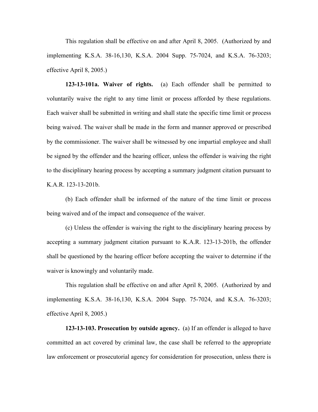This regulation shall be effective on and after April 8, 2005. (Authorized by and implementing K.S.A. 38-16,130, K.S.A. 2004 Supp. 75-7024, and K.S.A. 76-3203; effective April 8, 2005.)

**123-13-101a. Waiver of rights.** (a) Each offender shall be permitted to voluntarily waive the right to any time limit or process afforded by these regulations. Each waiver shall be submitted in writing and shall state the specific time limit or process being waived. The waiver shall be made in the form and manner approved or prescribed by the commissioner. The waiver shall be witnessed by one impartial employee and shall be signed by the offender and the hearing officer, unless the offender is waiving the right to the disciplinary hearing process by accepting a summary judgment citation pursuant to K.A.R. 123-13-201b.

(b) Each offender shall be informed of the nature of the time limit or process being waived and of the impact and consequence of the waiver.

(c) Unless the offender is waiving the right to the disciplinary hearing process by accepting a summary judgment citation pursuant to K.A.R. 123-13-201b, the offender shall be questioned by the hearing officer before accepting the waiver to determine if the waiver is knowingly and voluntarily made.

This regulation shall be effective on and after April 8, 2005. (Authorized by and implementing K.S.A. 38-16,130, K.S.A. 2004 Supp. 75-7024, and K.S.A. 76-3203; effective April 8, 2005.)

**123-13-103. Prosecution by outside agency.** (a) If an offender is alleged to have committed an act covered by criminal law, the case shall be referred to the appropriate law enforcement or prosecutorial agency for consideration for prosecution, unless there is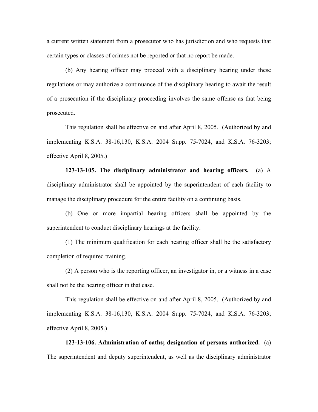a current written statement from a prosecutor who has jurisdiction and who requests that certain types or classes of crimes not be reported or that no report be made.

(b) Any hearing officer may proceed with a disciplinary hearing under these regulations or may authorize a continuance of the disciplinary hearing to await the result of a prosecution if the disciplinary proceeding involves the same offense as that being prosecuted.

This regulation shall be effective on and after April 8, 2005. (Authorized by and implementing K.S.A. 38-16,130, K.S.A. 2004 Supp. 75-7024, and K.S.A. 76-3203; effective April 8, 2005.)

**123-13-105. The disciplinary administrator and hearing officers.** (a) A disciplinary administrator shall be appointed by the superintendent of each facility to manage the disciplinary procedure for the entire facility on a continuing basis.

(b) One or more impartial hearing officers shall be appointed by the superintendent to conduct disciplinary hearings at the facility.

(1) The minimum qualification for each hearing officer shall be the satisfactory completion of required training.

(2) A person who is the reporting officer, an investigator in, or a witness in a case shall not be the hearing officer in that case.

This regulation shall be effective on and after April 8, 2005. (Authorized by and implementing K.S.A. 38-16,130, K.S.A. 2004 Supp. 75-7024, and K.S.A. 76-3203; effective April 8, 2005.)

**123-13-106. Administration of oaths; designation of persons authorized.** (a) The superintendent and deputy superintendent, as well as the disciplinary administrator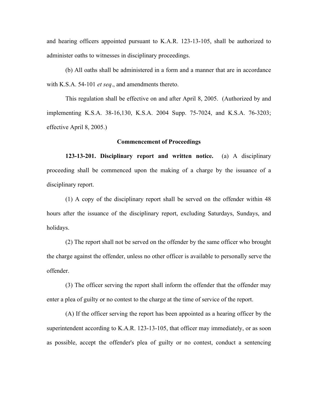and hearing officers appointed pursuant to K.A.R. 123-13-105, shall be authorized to administer oaths to witnesses in disciplinary proceedings.

(b) All oaths shall be administered in a form and a manner that are in accordance with K.S.A. 54-101 *et seq*., and amendments thereto.

This regulation shall be effective on and after April 8, 2005. (Authorized by and implementing K.S.A. 38-16,130, K.S.A. 2004 Supp. 75-7024, and K.S.A. 76-3203; effective April 8, 2005.)

## **Commencement of Proceedings**

**123-13-201. Disciplinary report and written notice.** (a) A disciplinary proceeding shall be commenced upon the making of a charge by the issuance of a disciplinary report.

(1) A copy of the disciplinary report shall be served on the offender within 48 hours after the issuance of the disciplinary report, excluding Saturdays, Sundays, and holidays.

(2) The report shall not be served on the offender by the same officer who brought the charge against the offender, unless no other officer is available to personally serve the offender.

(3) The officer serving the report shall inform the offender that the offender may enter a plea of guilty or no contest to the charge at the time of service of the report.

(A) If the officer serving the report has been appointed as a hearing officer by the superintendent according to K.A.R. 123-13-105, that officer may immediately, or as soon as possible, accept the offender's plea of guilty or no contest, conduct a sentencing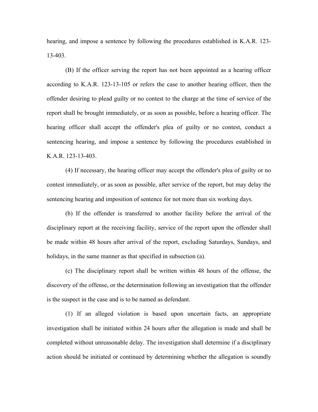hearing, and impose a sentence by following the procedures established in K.A.R. 123- 13-403.

(B) If the officer serving the report has not been appointed as a hearing officer according to K.A.R. 123-13-105 or refers the case to another hearing officer, then the offender desiring to plead guilty or no contest to the charge at the time of service of the report shall be brought immediately, or as soon as possible, before a hearing officer. The hearing officer shall accept the offender's plea of guilty or no contest, conduct a sentencing hearing, and impose a sentence by following the procedures established in K.A.R. 123-13-403.

(4) If necessary, the hearing officer may accept the offender's plea of guilty or no contest immediately, or as soon as possible, after service of the report, but may delay the sentencing hearing and imposition of sentence for not more than six working days.

(b) If the offender is transferred to another facility before the arrival of the disciplinary report at the receiving facility, service of the report upon the offender shall be made within 48 hours after arrival of the report, excluding Saturdays, Sundays, and holidays, in the same manner as that specified in subsection (a).

(c) The disciplinary report shall be written within 48 hours of the offense, the discovery of the offense, or the determination following an investigation that the offender is the suspect in the case and is to be named as defendant.

(1) If an alleged violation is based upon uncertain facts, an appropriate investigation shall be initiated within 24 hours after the allegation is made and shall be completed without unreasonable delay. The investigation shall determine if a disciplinary action should be initiated or continued by determining whether the allegation is soundly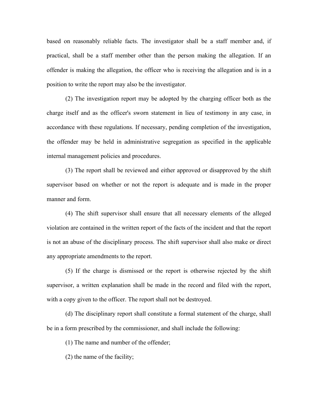based on reasonably reliable facts. The investigator shall be a staff member and, if practical, shall be a staff member other than the person making the allegation. If an offender is making the allegation, the officer who is receiving the allegation and is in a position to write the report may also be the investigator.

(2) The investigation report may be adopted by the charging officer both as the charge itself and as the officer's sworn statement in lieu of testimony in any case, in accordance with these regulations. If necessary, pending completion of the investigation, the offender may be held in administrative segregation as specified in the applicable internal management policies and procedures.

(3) The report shall be reviewed and either approved or disapproved by the shift supervisor based on whether or not the report is adequate and is made in the proper manner and form.

(4) The shift supervisor shall ensure that all necessary elements of the alleged violation are contained in the written report of the facts of the incident and that the report is not an abuse of the disciplinary process. The shift supervisor shall also make or direct any appropriate amendments to the report.

(5) If the charge is dismissed or the report is otherwise rejected by the shift supervisor, a written explanation shall be made in the record and filed with the report, with a copy given to the officer. The report shall not be destroyed.

(d) The disciplinary report shall constitute a formal statement of the charge, shall be in a form prescribed by the commissioner, and shall include the following:

(1) The name and number of the offender;

(2) the name of the facility;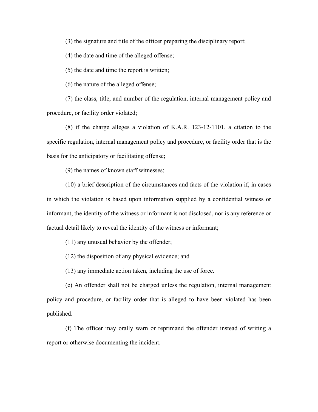(3) the signature and title of the officer preparing the disciplinary report;

(4) the date and time of the alleged offense;

(5) the date and time the report is written;

(6) the nature of the alleged offense;

(7) the class, title, and number of the regulation, internal management policy and procedure, or facility order violated;

(8) if the charge alleges a violation of K.A.R. 123-12-1101, a citation to the specific regulation, internal management policy and procedure, or facility order that is the basis for the anticipatory or facilitating offense;

(9) the names of known staff witnesses;

(10) a brief description of the circumstances and facts of the violation if, in cases in which the violation is based upon information supplied by a confidential witness or informant, the identity of the witness or informant is not disclosed, nor is any reference or factual detail likely to reveal the identity of the witness or informant;

(11) any unusual behavior by the offender;

(12) the disposition of any physical evidence; and

(13) any immediate action taken, including the use of force.

(e) An offender shall not be charged unless the regulation, internal management policy and procedure, or facility order that is alleged to have been violated has been published.

(f) The officer may orally warn or reprimand the offender instead of writing a report or otherwise documenting the incident.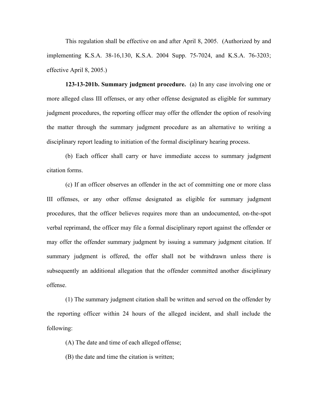This regulation shall be effective on and after April 8, 2005. (Authorized by and implementing K.S.A. 38-16,130, K.S.A. 2004 Supp. 75-7024, and K.S.A. 76-3203; effective April 8, 2005.)

**123-13-201b. Summary judgment procedure.** (a) In any case involving one or more alleged class III offenses, or any other offense designated as eligible for summary judgment procedures, the reporting officer may offer the offender the option of resolving the matter through the summary judgment procedure as an alternative to writing a disciplinary report leading to initiation of the formal disciplinary hearing process.

(b) Each officer shall carry or have immediate access to summary judgment citation forms.

(c) If an officer observes an offender in the act of committing one or more class III offenses, or any other offense designated as eligible for summary judgment procedures, that the officer believes requires more than an undocumented, on-the-spot verbal reprimand, the officer may file a formal disciplinary report against the offender or may offer the offender summary judgment by issuing a summary judgment citation. If summary judgment is offered, the offer shall not be withdrawn unless there is subsequently an additional allegation that the offender committed another disciplinary offense.

(1) The summary judgment citation shall be written and served on the offender by the reporting officer within 24 hours of the alleged incident, and shall include the following:

(A) The date and time of each alleged offense;

(B) the date and time the citation is written;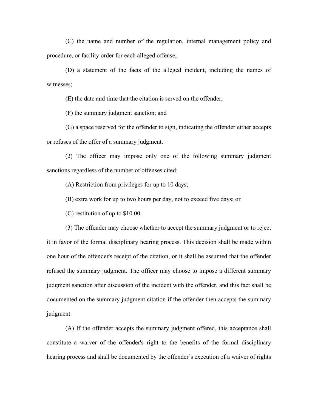(C) the name and number of the regulation, internal management policy and procedure, or facility order for each alleged offense;

(D) a statement of the facts of the alleged incident, including the names of witnesses;

(E) the date and time that the citation is served on the offender;

(F) the summary judgment sanction; and

(G) a space reserved for the offender to sign, indicating the offender either accepts or refuses of the offer of a summary judgment.

(2) The officer may impose only one of the following summary judgment sanctions regardless of the number of offenses cited:

(A) Restriction from privileges for up to 10 days;

(B) extra work for up to two hours per day, not to exceed five days; or

(C) restitution of up to \$10.00.

(3) The offender may choose whether to accept the summary judgment or to reject it in favor of the formal disciplinary hearing process. This decision shall be made within one hour of the offender's receipt of the citation, or it shall be assumed that the offender refused the summary judgment. The officer may choose to impose a different summary judgment sanction after discussion of the incident with the offender, and this fact shall be documented on the summary judgment citation if the offender then accepts the summary judgment.

(A) If the offender accepts the summary judgment offered, this acceptance shall constitute a waiver of the offender's right to the benefits of the formal disciplinary hearing process and shall be documented by the offender's execution of a waiver of rights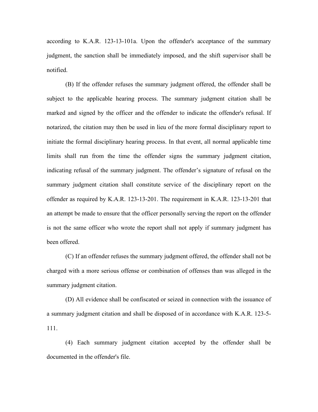according to K.A.R. 123-13-101a. Upon the offender's acceptance of the summary judgment, the sanction shall be immediately imposed, and the shift supervisor shall be notified.

(B) If the offender refuses the summary judgment offered, the offender shall be subject to the applicable hearing process. The summary judgment citation shall be marked and signed by the officer and the offender to indicate the offender's refusal. If notarized, the citation may then be used in lieu of the more formal disciplinary report to initiate the formal disciplinary hearing process. In that event, all normal applicable time limits shall run from the time the offender signs the summary judgment citation, indicating refusal of the summary judgment. The offender's signature of refusal on the summary judgment citation shall constitute service of the disciplinary report on the offender as required by K.A.R. 123-13-201. The requirement in K.A.R. 123-13-201 that an attempt be made to ensure that the officer personally serving the report on the offender is not the same officer who wrote the report shall not apply if summary judgment has been offered.

(C) If an offender refuses the summary judgment offered, the offender shall not be charged with a more serious offense or combination of offenses than was alleged in the summary judgment citation.

(D) All evidence shall be confiscated or seized in connection with the issuance of a summary judgment citation and shall be disposed of in accordance with K.A.R. 123-5- 111.

(4) Each summary judgment citation accepted by the offender shall be documented in the offender's file.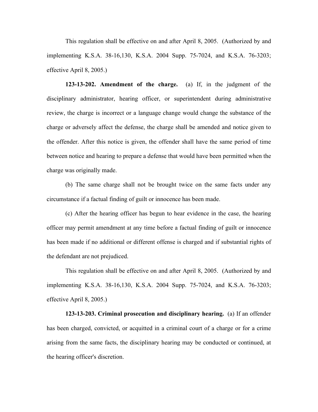This regulation shall be effective on and after April 8, 2005. (Authorized by and implementing K.S.A. 38-16,130, K.S.A. 2004 Supp. 75-7024, and K.S.A. 76-3203; effective April 8, 2005.)

**123-13-202. Amendment of the charge.** (a) If, in the judgment of the disciplinary administrator, hearing officer, or superintendent during administrative review, the charge is incorrect or a language change would change the substance of the charge or adversely affect the defense, the charge shall be amended and notice given to the offender. After this notice is given, the offender shall have the same period of time between notice and hearing to prepare a defense that would have been permitted when the charge was originally made.

(b) The same charge shall not be brought twice on the same facts under any circumstance if a factual finding of guilt or innocence has been made.

(c) After the hearing officer has begun to hear evidence in the case, the hearing officer may permit amendment at any time before a factual finding of guilt or innocence has been made if no additional or different offense is charged and if substantial rights of the defendant are not prejudiced.

This regulation shall be effective on and after April 8, 2005. (Authorized by and implementing K.S.A. 38-16,130, K.S.A. 2004 Supp. 75-7024, and K.S.A. 76-3203; effective April 8, 2005.)

**123-13-203. Criminal prosecution and disciplinary hearing.** (a) If an offender has been charged, convicted, or acquitted in a criminal court of a charge or for a crime arising from the same facts, the disciplinary hearing may be conducted or continued, at the hearing officer's discretion.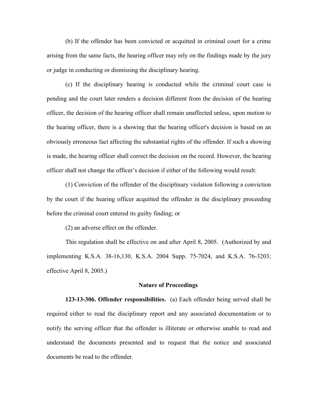(b) If the offender has been convicted or acquitted in criminal court for a crime arising from the same facts, the hearing officer may rely on the findings made by the jury or judge in conducting or dismissing the disciplinary hearing.

(c) If the disciplinary hearing is conducted while the criminal court case is pending and the court later renders a decision different from the decision of the hearing officer, the decision of the hearing officer shall remain unaffected unless, upon motion to the hearing officer, there is a showing that the hearing officer's decision is based on an obviously erroneous fact affecting the substantial rights of the offender. If such a showing is made, the hearing officer shall correct the decision on the record. However, the hearing officer shall not change the officer's decision if either of the following would result:

(1) Conviction of the offender of the disciplinary violation following a conviction by the court if the hearing officer acquitted the offender in the disciplinary proceeding before the criminal court entered its guilty finding; or

(2) an adverse effect on the offender.

This regulation shall be effective on and after April 8, 2005. (Authorized by and implementing K.S.A. 38-16,130, K.S.A. 2004 Supp. 75-7024, and K.S.A. 76-3203; effective April 8, 2005.)

#### **Nature of Proceedings**

**123-13-306. Offender responsibilities.** (a) Each offender being served shall be required either to read the disciplinary report and any associated documentation or to notify the serving officer that the offender is illiterate or otherwise unable to read and understand the documents presented and to request that the notice and associated documents be read to the offender.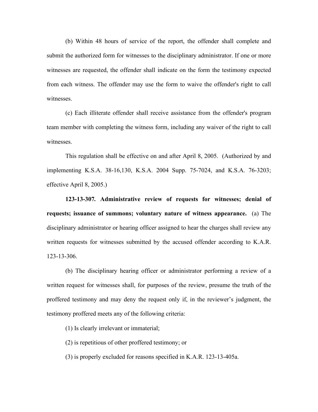(b) Within 48 hours of service of the report, the offender shall complete and submit the authorized form for witnesses to the disciplinary administrator. If one or more witnesses are requested, the offender shall indicate on the form the testimony expected from each witness. The offender may use the form to waive the offender's right to call witnesses.

(c) Each illiterate offender shall receive assistance from the offender's program team member with completing the witness form, including any waiver of the right to call witnesses.

This regulation shall be effective on and after April 8, 2005. (Authorized by and implementing K.S.A. 38-16,130, K.S.A. 2004 Supp. 75-7024, and K.S.A. 76-3203; effective April 8, 2005.)

**123-13-307***.* **Administrative review of requests for witnesses; denial of requests; issuance of summons; voluntary nature of witness appearance.** (a) The disciplinary administrator or hearing officer assigned to hear the charges shall review any written requests for witnesses submitted by the accused offender according to K.A.R. 123-13-306.

(b) The disciplinary hearing officer or administrator performing a review of a written request for witnesses shall, for purposes of the review, presume the truth of the proffered testimony and may deny the request only if, in the reviewer's judgment, the testimony proffered meets any of the following criteria:

(1) Is clearly irrelevant or immaterial;

(2) is repetitious of other proffered testimony; or

(3) is properly excluded for reasons specified in K.A.R. 123-13-405a.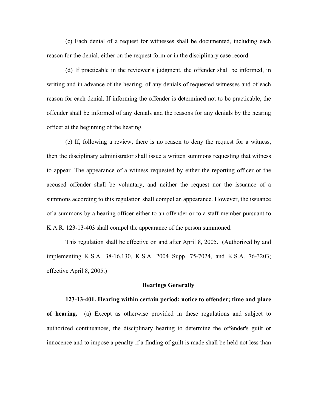(c) Each denial of a request for witnesses shall be documented, including each reason for the denial, either on the request form or in the disciplinary case record.

(d) If practicable in the reviewer's judgment, the offender shall be informed, in writing and in advance of the hearing, of any denials of requested witnesses and of each reason for each denial. If informing the offender is determined not to be practicable, the offender shall be informed of any denials and the reasons for any denials by the hearing officer at the beginning of the hearing.

(e) If, following a review, there is no reason to deny the request for a witness, then the disciplinary administrator shall issue a written summons requesting that witness to appear. The appearance of a witness requested by either the reporting officer or the accused offender shall be voluntary, and neither the request nor the issuance of a summons according to this regulation shall compel an appearance. However, the issuance of a summons by a hearing officer either to an offender or to a staff member pursuant to K.A.R. 123-13-403 shall compel the appearance of the person summoned.

This regulation shall be effective on and after April 8, 2005. (Authorized by and implementing K.S.A. 38-16,130, K.S.A. 2004 Supp. 75-7024, and K.S.A. 76-3203; effective April 8, 2005.)

## **Hearings Generally**

### **123-13-401. Hearing within certain period; notice to offender; time and place**

**of hearing.** (a) Except as otherwise provided in these regulations and subject to authorized continuances, the disciplinary hearing to determine the offender's guilt or innocence and to impose a penalty if a finding of guilt is made shall be held not less than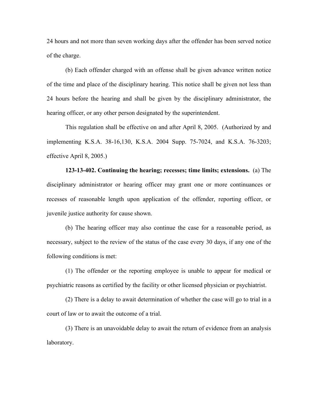24 hours and not more than seven working days after the offender has been served notice of the charge.

(b) Each offender charged with an offense shall be given advance written notice of the time and place of the disciplinary hearing. This notice shall be given not less than 24 hours before the hearing and shall be given by the disciplinary administrator, the hearing officer, or any other person designated by the superintendent.

This regulation shall be effective on and after April 8, 2005. (Authorized by and implementing K.S.A. 38-16,130, K.S.A. 2004 Supp. 75-7024, and K.S.A. 76-3203; effective April 8, 2005.)

**123-13-402. Continuing the hearing; recesses; time limits; extensions.** (a) The disciplinary administrator or hearing officer may grant one or more continuances or recesses of reasonable length upon application of the offender, reporting officer, or juvenile justice authority for cause shown.

(b) The hearing officer may also continue the case for a reasonable period, as necessary, subject to the review of the status of the case every 30 days, if any one of the following conditions is met:

(1) The offender or the reporting employee is unable to appear for medical or psychiatric reasons as certified by the facility or other licensed physician or psychiatrist.

(2) There is a delay to await determination of whether the case will go to trial in a court of law or to await the outcome of a trial.

(3) There is an unavoidable delay to await the return of evidence from an analysis laboratory.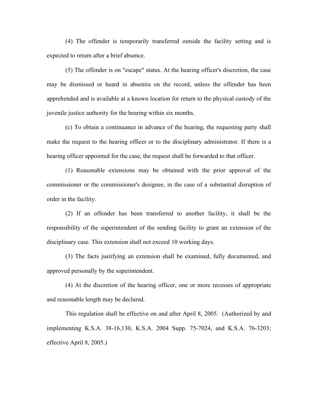(4) The offender is temporarily transferred outside the facility setting and is expected to return after a brief absence.

(5) The offender is on "escape" status. At the hearing officer's discretion, the case may be dismissed or heard in absentia on the record, unless the offender has been apprehended and is available at a known location for return to the physical custody of the juvenile justice authority for the hearing within six months.

(c) To obtain a continuance in advance of the hearing, the requesting party shall make the request to the hearing officer or to the disciplinary administrator. If there is a hearing officer appointed for the case, the request shall be forwarded to that officer.

(1) Reasonable extensions may be obtained with the prior approval of the commissioner or the commissioner's designee, in the case of a substantial disruption of order in the facility.

(2) If an offender has been transferred to another facility, it shall be the responsibility of the superintendent of the sending facility to grant an extension of the disciplinary case. This extension shall not exceed 10 working days.

(3) The facts justifying an extension shall be examined, fully documented, and approved personally by the superintendent.

(4) At the discretion of the hearing officer, one or more recesses of appropriate and reasonable length may be declared.

This regulation shall be effective on and after April 8, 2005. (Authorized by and implementing K.S.A. 38-16,130, K.S.A. 2004 Supp. 75-7024, and K.S.A. 76-3203; effective April 8, 2005.)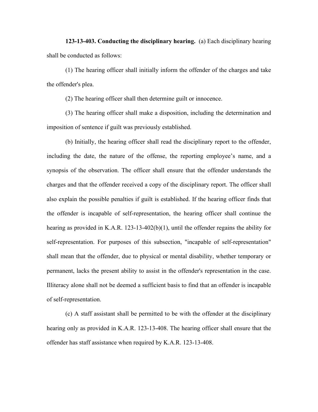**123-13-403. Conducting the disciplinary hearing.** (a) Each disciplinary hearing shall be conducted as follows:

(1) The hearing officer shall initially inform the offender of the charges and take the offender's plea.

(2) The hearing officer shall then determine guilt or innocence.

(3) The hearing officer shall make a disposition, including the determination and imposition of sentence if guilt was previously established.

(b) Initially, the hearing officer shall read the disciplinary report to the offender, including the date, the nature of the offense, the reporting employee's name, and a synopsis of the observation. The officer shall ensure that the offender understands the charges and that the offender received a copy of the disciplinary report. The officer shall also explain the possible penalties if guilt is established. If the hearing officer finds that the offender is incapable of self-representation, the hearing officer shall continue the hearing as provided in K.A.R. 123-13-402(b)(1), until the offender regains the ability for self-representation. For purposes of this subsection, "incapable of self-representation" shall mean that the offender, due to physical or mental disability, whether temporary or permanent, lacks the present ability to assist in the offender's representation in the case. Illiteracy alone shall not be deemed a sufficient basis to find that an offender is incapable of self-representation.

(c) A staff assistant shall be permitted to be with the offender at the disciplinary hearing only as provided in K.A.R. 123-13-408. The hearing officer shall ensure that the offender has staff assistance when required by K.A.R. 123-13-408.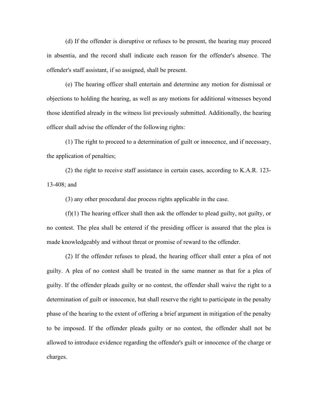(d) If the offender is disruptive or refuses to be present, the hearing may proceed in absentia, and the record shall indicate each reason for the offender's absence. The offender's staff assistant, if so assigned, shall be present.

(e) The hearing officer shall entertain and determine any motion for dismissal or objections to holding the hearing, as well as any motions for additional witnesses beyond those identified already in the witness list previously submitted. Additionally, the hearing officer shall advise the offender of the following rights:

(1) The right to proceed to a determination of guilt or innocence, and if necessary, the application of penalties;

(2) the right to receive staff assistance in certain cases, according to K.A.R. 123- 13-408; and

(3) any other procedural due process rights applicable in the case.

(f)(1) The hearing officer shall then ask the offender to plead guilty, not guilty, or no contest. The plea shall be entered if the presiding officer is assured that the plea is made knowledgeably and without threat or promise of reward to the offender.

(2) If the offender refuses to plead, the hearing officer shall enter a plea of not guilty. A plea of no contest shall be treated in the same manner as that for a plea of guilty. If the offender pleads guilty or no contest, the offender shall waive the right to a determination of guilt or innocence, but shall reserve the right to participate in the penalty phase of the hearing to the extent of offering a brief argument in mitigation of the penalty to be imposed. If the offender pleads guilty or no contest, the offender shall not be allowed to introduce evidence regarding the offender's guilt or innocence of the charge or charges.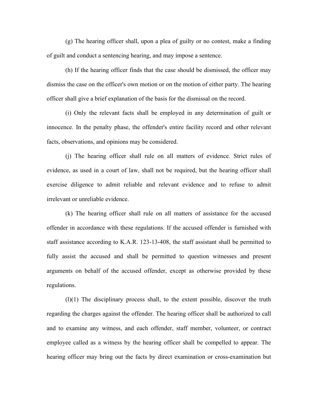(g) The hearing officer shall, upon a plea of guilty or no contest, make a finding of guilt and conduct a sentencing hearing, and may impose a sentence.

(h) If the hearing officer finds that the case should be dismissed, the officer may dismiss the case on the officer's own motion or on the motion of either party. The hearing officer shall give a brief explanation of the basis for the dismissal on the record.

(i) Only the relevant facts shall be employed in any determination of guilt or innocence. In the penalty phase, the offender's entire facility record and other relevant facts, observations, and opinions may be considered.

(j) The hearing officer shall rule on all matters of evidence. Strict rules of evidence, as used in a court of law, shall not be required, but the hearing officer shall exercise diligence to admit reliable and relevant evidence and to refuse to admit irrelevant or unreliable evidence.

(k) The hearing officer shall rule on all matters of assistance for the accused offender in accordance with these regulations. If the accused offender is furnished with staff assistance according to K.A.R. 123-13-408, the staff assistant shall be permitted to fully assist the accused and shall be permitted to question witnesses and present arguments on behalf of the accused offender, except as otherwise provided by these regulations.

(l)(1) The disciplinary process shall, to the extent possible, discover the truth regarding the charges against the offender. The hearing officer shall be authorized to call and to examine any witness, and each offender, staff member, volunteer, or contract employee called as a witness by the hearing officer shall be compelled to appear. The hearing officer may bring out the facts by direct examination or cross-examination but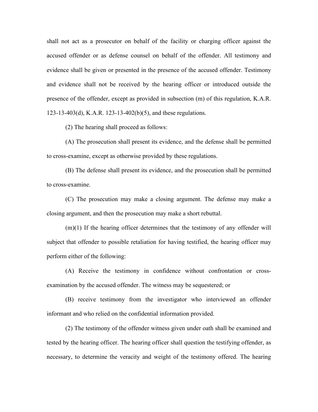shall not act as a prosecutor on behalf of the facility or charging officer against the accused offender or as defense counsel on behalf of the offender. All testimony and evidence shall be given or presented in the presence of the accused offender. Testimony and evidence shall not be received by the hearing officer or introduced outside the presence of the offender, except as provided in subsection (m) of this regulation, K.A.R. 123-13-403(d), K.A.R. 123-13-402(b)(5), and these regulations.

(2) The hearing shall proceed as follows:

(A) The prosecution shall present its evidence, and the defense shall be permitted to cross-examine, except as otherwise provided by these regulations.

(B) The defense shall present its evidence, and the prosecution shall be permitted to cross-examine.

(C) The prosecution may make a closing argument. The defense may make a closing argument, and then the prosecution may make a short rebuttal.

(m)(1) If the hearing officer determines that the testimony of any offender will subject that offender to possible retaliation for having testified, the hearing officer may perform either of the following:

(A) Receive the testimony in confidence without confrontation or crossexamination by the accused offender. The witness may be sequestered; or

(B) receive testimony from the investigator who interviewed an offender informant and who relied on the confidential information provided.

(2) The testimony of the offender witness given under oath shall be examined and tested by the hearing officer. The hearing officer shall question the testifying offender, as necessary, to determine the veracity and weight of the testimony offered. The hearing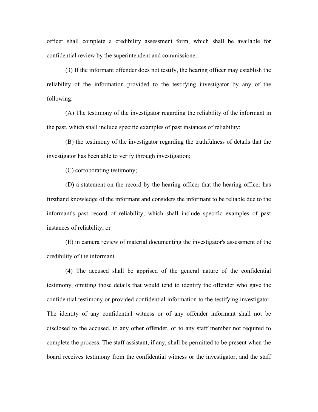officer shall complete a credibility assessment form, which shall be available for confidential review by the superintendent and commissioner.

(3) If the informant offender does not testify, the hearing officer may establish the reliability of the information provided to the testifying investigator by any of the following:

(A) The testimony of the investigator regarding the reliability of the informant in the past, which shall include specific examples of past instances of reliability;

(B) the testimony of the investigator regarding the truthfulness of details that the investigator has been able to verify through investigation;

(C) corroborating testimony;

(D) a statement on the record by the hearing officer that the hearing officer has firsthand knowledge of the informant and considers the informant to be reliable due to the informant's past record of reliability, which shall include specific examples of past instances of reliability; or

(E) in camera review of material documenting the investigator's assessment of the credibility of the informant.

(4) The accused shall be apprised of the general nature of the confidential testimony, omitting those details that would tend to identify the offender who gave the confidential testimony or provided confidential information to the testifying investigator. The identity of any confidential witness or of any offender informant shall not be disclosed to the accused, to any other offender, or to any staff member not required to complete the process. The staff assistant, if any, shall be permitted to be present when the board receives testimony from the confidential witness or the investigator, and the staff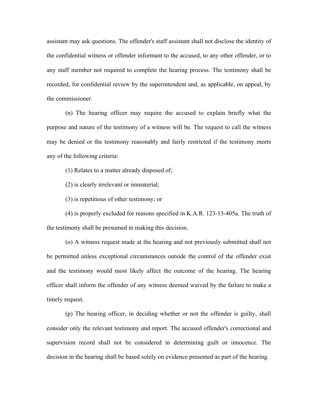assistant may ask questions. The offender's staff assistant shall not disclose the identity of the confidential witness or offender informant to the accused, to any other offender, or to any staff member not required to complete the hearing process. The testimony shall be recorded, for confidential review by the superintendent and, as applicable, on appeal, by the commissioner.

(n) The hearing officer may require the accused to explain briefly what the purpose and nature of the testimony of a witness will be. The request to call the witness may be denied or the testimony reasonably and fairly restricted if the testimony meets any of the following criteria:

(1) Relates to a matter already disposed of;

(2) is clearly irrelevant or immaterial;

(3) is repetitious of other testimony; or

(4) is properly excluded for reasons specified in K.A.R. 123-13-405a. The truth of the testimony shall be presumed in making this decision.

(o) A witness request made at the hearing and not previously submitted shall not be permitted unless exceptional circumstances outside the control of the offender exist and the testimony would most likely affect the outcome of the hearing. The hearing officer shall inform the offender of any witness deemed waived by the failure to make a timely request.

(p) The hearing officer, in deciding whether or not the offender is guilty, shall consider only the relevant testimony and report. The accused offender's correctional and supervision record shall not be considered in determining guilt or innocence. The decision in the hearing shall be based solely on evidence presented as part of the hearing.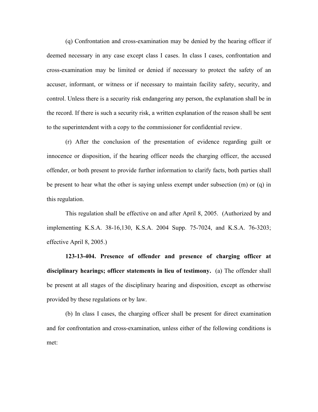(q) Confrontation and cross-examination may be denied by the hearing officer if deemed necessary in any case except class I cases. In class I cases, confrontation and cross-examination may be limited or denied if necessary to protect the safety of an accuser, informant, or witness or if necessary to maintain facility safety, security, and control. Unless there is a security risk endangering any person, the explanation shall be in the record. If there is such a security risk, a written explanation of the reason shall be sent to the superintendent with a copy to the commissioner for confidential review.

(r) After the conclusion of the presentation of evidence regarding guilt or innocence or disposition, if the hearing officer needs the charging officer, the accused offender, or both present to provide further information to clarify facts, both parties shall be present to hear what the other is saying unless exempt under subsection (m) or (q) in this regulation.

This regulation shall be effective on and after April 8, 2005. (Authorized by and implementing K.S.A. 38-16,130, K.S.A. 2004 Supp. 75-7024, and K.S.A. 76-3203; effective April 8, 2005.)

**123-13-404. Presence of offender and presence of charging officer at disciplinary hearings; officer statements in lieu of testimony.** (a) The offender shall be present at all stages of the disciplinary hearing and disposition, except as otherwise provided by these regulations or by law.

(b) In class I cases, the charging officer shall be present for direct examination and for confrontation and cross-examination, unless either of the following conditions is met: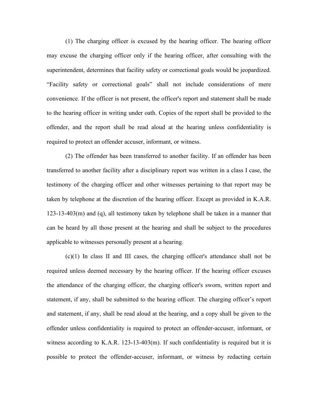(1) The charging officer is excused by the hearing officer. The hearing officer may excuse the charging officer only if the hearing officer, after consulting with the superintendent, determines that facility safety or correctional goals would be jeopardized. "Facility safety or correctional goals" shall not include considerations of mere convenience. If the officer is not present, the officer's report and statement shall be made to the hearing officer in writing under oath. Copies of the report shall be provided to the offender, and the report shall be read aloud at the hearing unless confidentiality is required to protect an offender accuser, informant, or witness.

(2) The offender has been transferred to another facility. If an offender has been transferred to another facility after a disciplinary report was written in a class I case, the testimony of the charging officer and other witnesses pertaining to that report may be taken by telephone at the discretion of the hearing officer. Except as provided in K.A.R. 123-13-403(m) and (q), all testimony taken by telephone shall be taken in a manner that can be heard by all those present at the hearing and shall be subject to the procedures applicable to witnesses personally present at a hearing.

(c)(1) In class II and III cases, the charging officer's attendance shall not be required unless deemed necessary by the hearing officer. If the hearing officer excuses the attendance of the charging officer, the charging officer's sworn, written report and statement, if any, shall be submitted to the hearing officer. The charging officer's report and statement, if any, shall be read aloud at the hearing, and a copy shall be given to the offender unless confidentiality is required to protect an offender-accuser, informant, or witness according to K.A.R. 123-13-403(m). If such confidentiality is required but it is possible to protect the offender-accuser, informant, or witness by redacting certain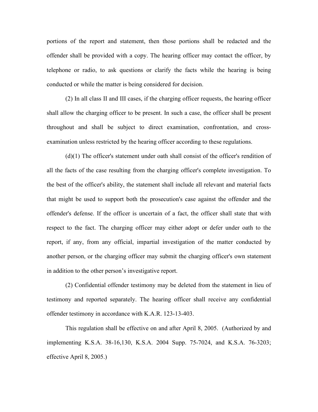portions of the report and statement, then those portions shall be redacted and the offender shall be provided with a copy. The hearing officer may contact the officer, by telephone or radio, to ask questions or clarify the facts while the hearing is being conducted or while the matter is being considered for decision.

(2) In all class II and III cases, if the charging officer requests, the hearing officer shall allow the charging officer to be present. In such a case, the officer shall be present throughout and shall be subject to direct examination, confrontation, and crossexamination unless restricted by the hearing officer according to these regulations.

(d)(1) The officer's statement under oath shall consist of the officer's rendition of all the facts of the case resulting from the charging officer's complete investigation. To the best of the officer's ability, the statement shall include all relevant and material facts that might be used to support both the prosecution's case against the offender and the offender's defense. If the officer is uncertain of a fact, the officer shall state that with respect to the fact. The charging officer may either adopt or defer under oath to the report, if any, from any official, impartial investigation of the matter conducted by another person, or the charging officer may submit the charging officer's own statement in addition to the other person's investigative report.

(2) Confidential offender testimony may be deleted from the statement in lieu of testimony and reported separately. The hearing officer shall receive any confidential offender testimony in accordance with K.A.R. 123-13-403.

This regulation shall be effective on and after April 8, 2005. (Authorized by and implementing K.S.A. 38-16,130, K.S.A. 2004 Supp. 75-7024, and K.S.A. 76-3203; effective April 8, 2005.)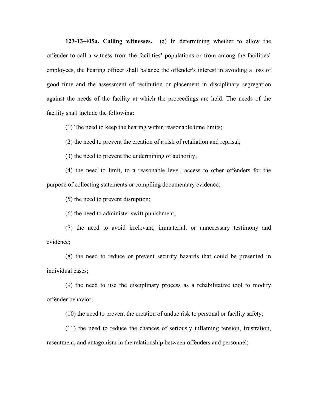**123-13-405a. Calling witnesses.** (a) In determining whether to allow the offender to call a witness from the facilities' populations or from among the facilities' employees, the hearing officer shall balance the offender's interest in avoiding a loss of good time and the assessment of restitution or placement in disciplinary segregation against the needs of the facility at which the proceedings are held. The needs of the facility shall include the following:

(1) The need to keep the hearing within reasonable time limits;

(2) the need to prevent the creation of a risk of retaliation and reprisal;

(3) the need to prevent the undermining of authority;

(4) the need to limit, to a reasonable level, access to other offenders for the purpose of collecting statements or compiling documentary evidence;

(5) the need to prevent disruption;

(6) the need to administer swift punishment;

(7) the need to avoid irrelevant, immaterial, or unnecessary testimony and evidence;

(8) the need to reduce or prevent security hazards that could be presented in individual cases;

(9) the need to use the disciplinary process as a rehabilitative tool to modify offender behavior;

(10) the need to prevent the creation of undue risk to personal or facility safety;

(11) the need to reduce the chances of seriously inflaming tension, frustration, resentment, and antagonism in the relationship between offenders and personnel;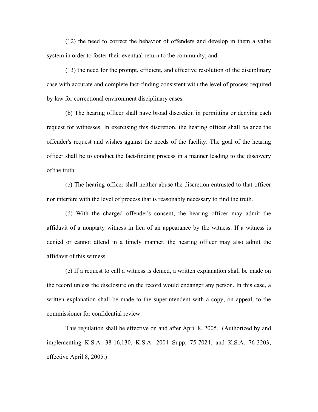(12) the need to correct the behavior of offenders and develop in them a value system in order to foster their eventual return to the community; and

(13) the need for the prompt, efficient, and effective resolution of the disciplinary case with accurate and complete fact-finding consistent with the level of process required by law for correctional environment disciplinary cases.

(b) The hearing officer shall have broad discretion in permitting or denying each request for witnesses. In exercising this discretion, the hearing officer shall balance the offender's request and wishes against the needs of the facility. The goal of the hearing officer shall be to conduct the fact-finding process in a manner leading to the discovery of the truth.

(c) The hearing officer shall neither abuse the discretion entrusted to that officer nor interfere with the level of process that is reasonably necessary to find the truth.

(d) With the charged offender's consent, the hearing officer may admit the affidavit of a nonparty witness in lieu of an appearance by the witness. If a witness is denied or cannot attend in a timely manner, the hearing officer may also admit the affidavit of this witness.

(e) If a request to call a witness is denied, a written explanation shall be made on the record unless the disclosure on the record would endanger any person. In this case, a written explanation shall be made to the superintendent with a copy, on appeal, to the commissioner for confidential review.

This regulation shall be effective on and after April 8, 2005. (Authorized by and implementing K.S.A. 38-16,130, K.S.A. 2004 Supp. 75-7024, and K.S.A. 76-3203; effective April 8, 2005.)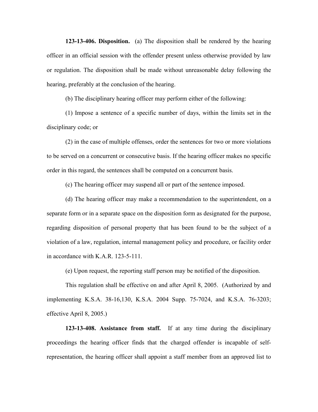**123-13-406. Disposition.** (a) The disposition shall be rendered by the hearing officer in an official session with the offender present unless otherwise provided by law or regulation. The disposition shall be made without unreasonable delay following the hearing, preferably at the conclusion of the hearing.

(b) The disciplinary hearing officer may perform either of the following:

(1) Impose a sentence of a specific number of days, within the limits set in the disciplinary code; or

(2) in the case of multiple offenses, order the sentences for two or more violations to be served on a concurrent or consecutive basis. If the hearing officer makes no specific order in this regard, the sentences shall be computed on a concurrent basis.

(c) The hearing officer may suspend all or part of the sentence imposed.

(d) The hearing officer may make a recommendation to the superintendent, on a separate form or in a separate space on the disposition form as designated for the purpose, regarding disposition of personal property that has been found to be the subject of a violation of a law, regulation, internal management policy and procedure, or facility order in accordance with K.A.R. 123-5-111.

(e) Upon request, the reporting staff person may be notified of the disposition.

This regulation shall be effective on and after April 8, 2005. (Authorized by and implementing K.S.A. 38-16,130, K.S.A. 2004 Supp. 75-7024, and K.S.A. 76-3203; effective April 8, 2005.)

**123-13-408. Assistance from staff.** If at any time during the disciplinary proceedings the hearing officer finds that the charged offender is incapable of selfrepresentation, the hearing officer shall appoint a staff member from an approved list to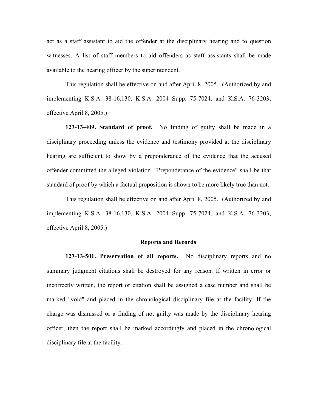act as a staff assistant to aid the offender at the disciplinary hearing and to question witnesses. A list of staff members to aid offenders as staff assistants shall be made available to the hearing officer by the superintendent.

This regulation shall be effective on and after April 8, 2005. (Authorized by and implementing K.S.A. 38-16,130, K.S.A. 2004 Supp. 75-7024, and K.S.A. 76-3203; effective April 8, 2005.)

**123-13-409. Standard of proof.** No finding of guilty shall be made in a disciplinary proceeding unless the evidence and testimony provided at the disciplinary hearing are sufficient to show by a preponderance of the evidence that the accused offender committed the alleged violation. "Preponderance of the evidence" shall be that standard of proof by which a factual proposition is shown to be more likely true than not.

This regulation shall be effective on and after April 8, 2005. (Authorized by and implementing K.S.A. 38-16,130, K.S.A. 2004 Supp. 75-7024, and K.S.A. 76-3203; effective April 8, 2005.)

## **Reports and Records**

**123-13-501. Preservation of all reports.** No disciplinary reports and no summary judgment citations shall be destroyed for any reason. If written in error or incorrectly written, the report or citation shall be assigned a case number and shall be marked "void" and placed in the chronological disciplinary file at the facility. If the charge was dismissed or a finding of not guilty was made by the disciplinary hearing officer, then the report shall be marked accordingly and placed in the chronological disciplinary file at the facility.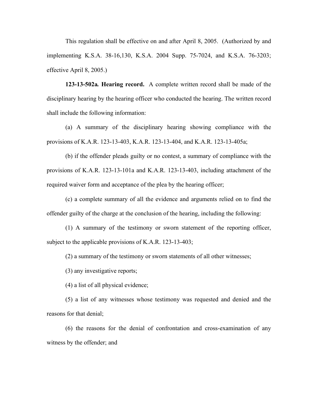This regulation shall be effective on and after April 8, 2005. (Authorized by and implementing K.S.A. 38-16,130, K.S.A. 2004 Supp. 75-7024, and K.S.A. 76-3203; effective April 8, 2005.)

**123-13-502a***.* **Hearing record.** A complete written record shall be made of the disciplinary hearing by the hearing officer who conducted the hearing. The written record shall include the following information:

(a) A summary of the disciplinary hearing showing compliance with the provisions of K.A.R. 123-13-403, K.A.R. 123-13-404, and K.A.R. 123-13-405a;

(b) if the offender pleads guilty or no contest, a summary of compliance with the provisions of K.A.R. 123-13-101a and K.A.R. 123-13-403, including attachment of the required waiver form and acceptance of the plea by the hearing officer;

(c) a complete summary of all the evidence and arguments relied on to find the offender guilty of the charge at the conclusion of the hearing, including the following:

(1) A summary of the testimony or sworn statement of the reporting officer, subject to the applicable provisions of K.A.R. 123-13-403;

(2) a summary of the testimony or sworn statements of all other witnesses;

(3) any investigative reports;

(4) a list of all physical evidence;

(5) a list of any witnesses whose testimony was requested and denied and the reasons for that denial;

(6) the reasons for the denial of confrontation and cross-examination of any witness by the offender; and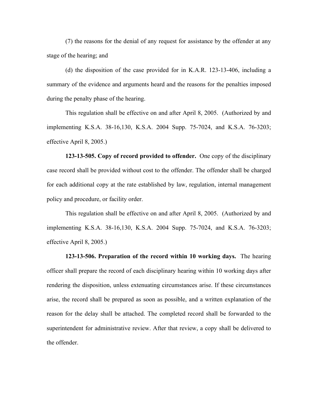(7) the reasons for the denial of any request for assistance by the offender at any stage of the hearing; and

(d) the disposition of the case provided for in K.A.R. 123-13-406, including a summary of the evidence and arguments heard and the reasons for the penalties imposed during the penalty phase of the hearing.

This regulation shall be effective on and after April 8, 2005. (Authorized by and implementing K.S.A. 38-16,130, K.S.A. 2004 Supp. 75-7024, and K.S.A. 76-3203; effective April 8, 2005.)

**123-13-505. Copy of record provided to offender.** One copy of the disciplinary case record shall be provided without cost to the offender. The offender shall be charged for each additional copy at the rate established by law, regulation, internal management policy and procedure, or facility order.

This regulation shall be effective on and after April 8, 2005. (Authorized by and implementing K.S.A. 38-16,130, K.S.A. 2004 Supp. 75-7024, and K.S.A. 76-3203; effective April 8, 2005.)

**123-13-506. Preparation of the record within 10 working days.** The hearing officer shall prepare the record of each disciplinary hearing within 10 working days after rendering the disposition, unless extenuating circumstances arise. If these circumstances arise, the record shall be prepared as soon as possible, and a written explanation of the reason for the delay shall be attached. The completed record shall be forwarded to the superintendent for administrative review. After that review, a copy shall be delivered to the offender.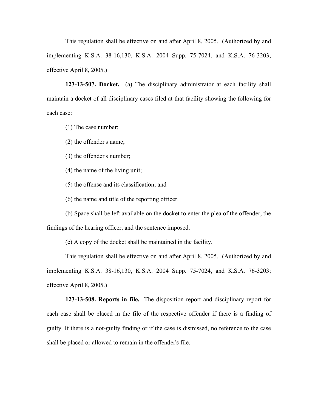This regulation shall be effective on and after April 8, 2005. (Authorized by and implementing K.S.A. 38-16,130, K.S.A. 2004 Supp. 75-7024, and K.S.A. 76-3203; effective April 8, 2005.)

**123-13-507. Docket.** (a) The disciplinary administrator at each facility shall maintain a docket of all disciplinary cases filed at that facility showing the following for each case:

(1) The case number;

(2) the offender's name;

(3) the offender's number;

(4) the name of the living unit;

(5) the offense and its classification; and

(6) the name and title of the reporting officer.

(b) Space shall be left available on the docket to enter the plea of the offender, the findings of the hearing officer, and the sentence imposed.

(c) A copy of the docket shall be maintained in the facility.

This regulation shall be effective on and after April 8, 2005. (Authorized by and implementing K.S.A. 38-16,130, K.S.A. 2004 Supp. 75-7024, and K.S.A. 76-3203; effective April 8, 2005.)

**123-13-508. Reports in file.** The disposition report and disciplinary report for each case shall be placed in the file of the respective offender if there is a finding of guilty. If there is a not-guilty finding or if the case is dismissed, no reference to the case shall be placed or allowed to remain in the offender's file.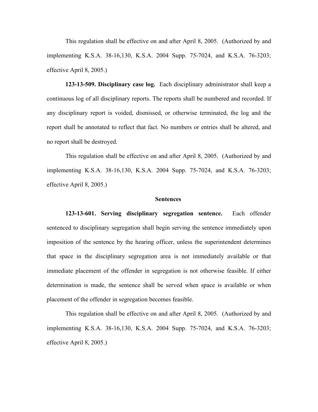This regulation shall be effective on and after April 8, 2005. (Authorized by and implementing K.S.A. 38-16,130, K.S.A. 2004 Supp. 75-7024, and K.S.A. 76-3203; effective April 8, 2005.)

**123-13-509. Disciplinary case log.** Each disciplinary administrator shall keep a continuous log of all disciplinary reports. The reports shall be numbered and recorded. If any disciplinary report is voided, dismissed, or otherwise terminated, the log and the report shall be annotated to reflect that fact. No numbers or entries shall be altered, and no report shall be destroyed.

This regulation shall be effective on and after April 8, 2005. (Authorized by and implementing K.S.A. 38-16,130, K.S.A. 2004 Supp. 75-7024, and K.S.A. 76-3203; effective April 8, 2005.)

### **Sentences**

**123-13-601. Serving disciplinary segregation sentence.** Each offender sentenced to disciplinary segregation shall begin serving the sentence immediately upon imposition of the sentence by the hearing officer, unless the superintendent determines that space in the disciplinary segregation area is not immediately available or that immediate placement of the offender in segregation is not otherwise feasible. If either determination is made, the sentence shall be served when space is available or when placement of the offender in segregation becomes feasible.

This regulation shall be effective on and after April 8, 2005. (Authorized by and implementing K.S.A. 38-16,130, K.S.A. 2004 Supp. 75-7024, and K.S.A. 76-3203; effective April 8, 2005.)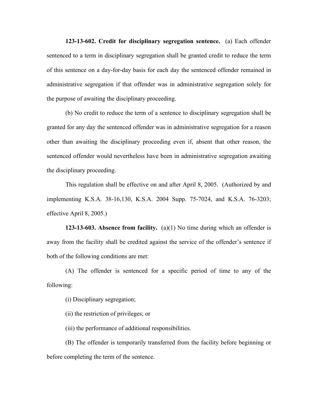**123-13-602. Credit for disciplinary segregation sentence.** (a) Each offender sentenced to a term in disciplinary segregation shall be granted credit to reduce the term of this sentence on a day-for-day basis for each day the sentenced offender remained in administrative segregation if that offender was in administrative segregation solely for the purpose of awaiting the disciplinary proceeding.

(b) No credit to reduce the term of a sentence to disciplinary segregation shall be granted for any day the sentenced offender was in administrative segregation for a reason other than awaiting the disciplinary proceeding even if, absent that other reason, the sentenced offender would nevertheless have been in administrative segregation awaiting the disciplinary proceeding.

This regulation shall be effective on and after April 8, 2005. (Authorized by and implementing K.S.A. 38-16,130, K.S.A. 2004 Supp. 75-7024, and K.S.A. 76-3203; effective April 8, 2005.)

**123-13-603. Absence from facility.** (a)(1) No time during which an offender is away from the facility shall be credited against the service of the offender's sentence if both of the following conditions are met:

(A) The offender is sentenced for a specific period of time to any of the following:

(i) Disciplinary segregation;

(ii) the restriction of privileges; or

(iii) the performance of additional responsibilities.

(B) The offender is temporarily transferred from the facility before beginning or before completing the term of the sentence.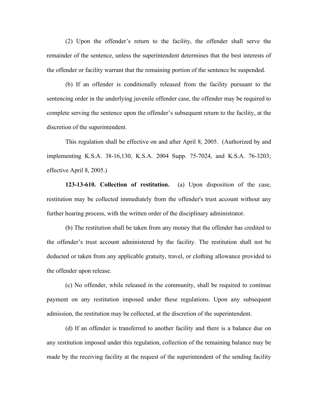(2) Upon the offender's return to the facility, the offender shall serve the remainder of the sentence, unless the superintendent determines that the best interests of the offender or facility warrant that the remaining portion of the sentence be suspended.

(b) If an offender is conditionally released from the facility pursuant to the sentencing order in the underlying juvenile offender case, the offender may be required to complete serving the sentence upon the offender's subsequent return to the facility, at the discretion of the superintendent.

This regulation shall be effective on and after April 8, 2005. (Authorized by and implementing K.S.A. 38-16,130, K.S.A. 2004 Supp. 75-7024, and K.S.A. 76-3203; effective April 8, 2005.)

**123-13-610. Collection of restitution.** (a) Upon disposition of the case, restitution may be collected immediately from the offender's trust account without any further hearing process, with the written order of the disciplinary administrator.

(b) The restitution shall be taken from any money that the offender has credited to the offender's trust account administered by the facility. The restitution shall not be deducted or taken from any applicable gratuity, travel, or clothing allowance provided to the offender upon release.

(c) No offender, while released in the community, shall be required to continue payment on any restitution imposed under these regulations. Upon any subsequent admission, the restitution may be collected, at the discretion of the superintendent.

(d) If an offender is transferred to another facility and there is a balance due on any restitution imposed under this regulation, collection of the remaining balance may be made by the receiving facility at the request of the superintendent of the sending facility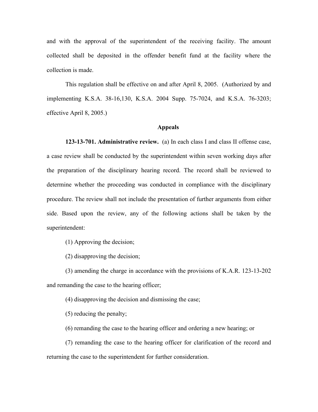and with the approval of the superintendent of the receiving facility. The amount collected shall be deposited in the offender benefit fund at the facility where the collection is made.

This regulation shall be effective on and after April 8, 2005. (Authorized by and implementing K.S.A. 38-16,130, K.S.A. 2004 Supp. 75-7024, and K.S.A. 76-3203; effective April 8, 2005.)

# **Appeals**

**123-13-701. Administrative review.** (a) In each class I and class II offense case, a case review shall be conducted by the superintendent within seven working days after the preparation of the disciplinary hearing record. The record shall be reviewed to determine whether the proceeding was conducted in compliance with the disciplinary procedure. The review shall not include the presentation of further arguments from either side. Based upon the review, any of the following actions shall be taken by the superintendent:

(1) Approving the decision;

(2) disapproving the decision;

(3) amending the charge in accordance with the provisions of K.A.R. 123-13-202 and remanding the case to the hearing officer;

(4) disapproving the decision and dismissing the case;

(5) reducing the penalty;

(6) remanding the case to the hearing officer and ordering a new hearing; or

(7) remanding the case to the hearing officer for clarification of the record and returning the case to the superintendent for further consideration.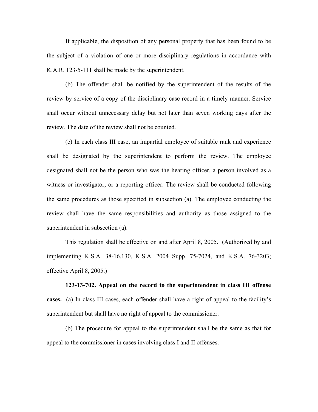If applicable, the disposition of any personal property that has been found to be the subject of a violation of one or more disciplinary regulations in accordance with K.A.R. 123-5-111 shall be made by the superintendent.

(b) The offender shall be notified by the superintendent of the results of the review by service of a copy of the disciplinary case record in a timely manner. Service shall occur without unnecessary delay but not later than seven working days after the review. The date of the review shall not be counted.

(c) In each class III case, an impartial employee of suitable rank and experience shall be designated by the superintendent to perform the review. The employee designated shall not be the person who was the hearing officer, a person involved as a witness or investigator, or a reporting officer. The review shall be conducted following the same procedures as those specified in subsection (a). The employee conducting the review shall have the same responsibilities and authority as those assigned to the superintendent in subsection (a).

This regulation shall be effective on and after April 8, 2005. (Authorized by and implementing K.S.A. 38-16,130, K.S.A. 2004 Supp. 75-7024, and K.S.A. 76-3203; effective April 8, 2005.)

**123-13-702. Appeal on the record to the superintendent in class III offense cases.** (a) In class III cases, each offender shall have a right of appeal to the facility's superintendent but shall have no right of appeal to the commissioner.

(b) The procedure for appeal to the superintendent shall be the same as that for appeal to the commissioner in cases involving class I and II offenses.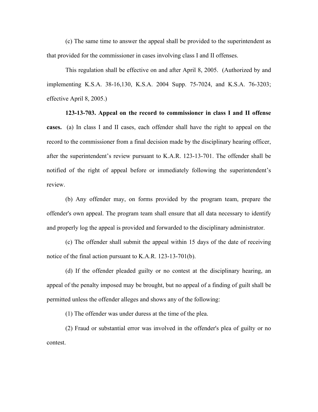(c) The same time to answer the appeal shall be provided to the superintendent as that provided for the commissioner in cases involving class I and II offenses.

This regulation shall be effective on and after April 8, 2005. (Authorized by and implementing K.S.A. 38-16,130, K.S.A. 2004 Supp. 75-7024, and K.S.A. 76-3203; effective April 8, 2005.)

**123-13-703. Appeal on the record to commissioner in class I and II offense cases.** (a) In class I and II cases, each offender shall have the right to appeal on the record to the commissioner from a final decision made by the disciplinary hearing officer, after the superintendent's review pursuant to K.A.R. 123-13-701. The offender shall be notified of the right of appeal before or immediately following the superintendent's review.

(b) Any offender may, on forms provided by the program team, prepare the offender's own appeal. The program team shall ensure that all data necessary to identify and properly log the appeal is provided and forwarded to the disciplinary administrator.

(c) The offender shall submit the appeal within 15 days of the date of receiving notice of the final action pursuant to K.A.R. 123-13-701(b).

(d) If the offender pleaded guilty or no contest at the disciplinary hearing, an appeal of the penalty imposed may be brought, but no appeal of a finding of guilt shall be permitted unless the offender alleges and shows any of the following:

(1) The offender was under duress at the time of the plea.

(2) Fraud or substantial error was involved in the offender's plea of guilty or no contest.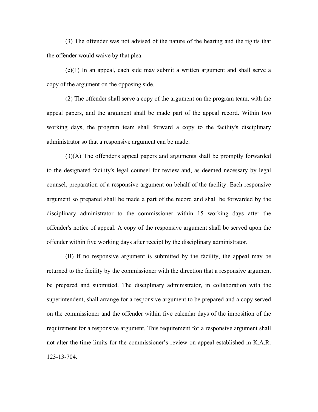(3) The offender was not advised of the nature of the hearing and the rights that the offender would waive by that plea.

(e)(1) In an appeal, each side may submit a written argument and shall serve a copy of the argument on the opposing side.

(2) The offender shall serve a copy of the argument on the program team, with the appeal papers, and the argument shall be made part of the appeal record. Within two working days, the program team shall forward a copy to the facility's disciplinary administrator so that a responsive argument can be made.

(3)(A) The offender's appeal papers and arguments shall be promptly forwarded to the designated facility's legal counsel for review and, as deemed necessary by legal counsel, preparation of a responsive argument on behalf of the facility. Each responsive argument so prepared shall be made a part of the record and shall be forwarded by the disciplinary administrator to the commissioner within 15 working days after the offender's notice of appeal. A copy of the responsive argument shall be served upon the offender within five working days after receipt by the disciplinary administrator.

(B) If no responsive argument is submitted by the facility, the appeal may be returned to the facility by the commissioner with the direction that a responsive argument be prepared and submitted. The disciplinary administrator, in collaboration with the superintendent, shall arrange for a responsive argument to be prepared and a copy served on the commissioner and the offender within five calendar days of the imposition of the requirement for a responsive argument. This requirement for a responsive argument shall not alter the time limits for the commissioner's review on appeal established in K.A.R. 123-13-704.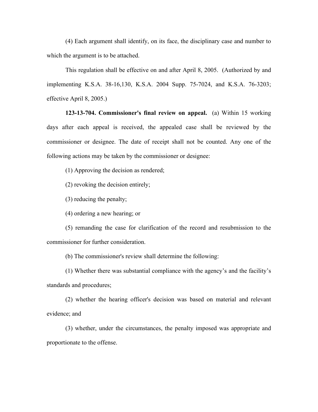(4) Each argument shall identify, on its face, the disciplinary case and number to which the argument is to be attached.

This regulation shall be effective on and after April 8, 2005. (Authorized by and implementing K.S.A. 38-16,130, K.S.A. 2004 Supp. 75-7024, and K.S.A. 76-3203; effective April 8, 2005.)

**123-13-704. Commissioner's final review on appeal.** (a) Within 15 working days after each appeal is received, the appealed case shall be reviewed by the commissioner or designee. The date of receipt shall not be counted. Any one of the following actions may be taken by the commissioner or designee:

(1) Approving the decision as rendered;

(2) revoking the decision entirely;

(3) reducing the penalty;

(4) ordering a new hearing; or

(5) remanding the case for clarification of the record and resubmission to the commissioner for further consideration.

(b) The commissioner's review shall determine the following:

(1) Whether there was substantial compliance with the agency's and the facility's standards and procedures;

(2) whether the hearing officer's decision was based on material and relevant evidence; and

(3) whether, under the circumstances, the penalty imposed was appropriate and proportionate to the offense.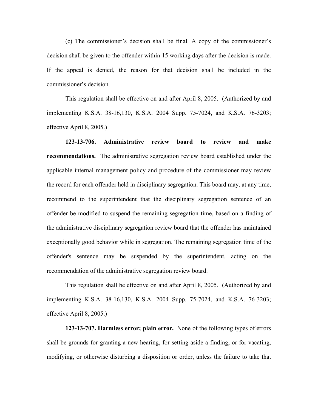(c) The commissioner's decision shall be final. A copy of the commissioner's decision shall be given to the offender within 15 working days after the decision is made. If the appeal is denied, the reason for that decision shall be included in the commissioner's decision.

This regulation shall be effective on and after April 8, 2005. (Authorized by and implementing K.S.A. 38-16,130, K.S.A. 2004 Supp. 75-7024, and K.S.A. 76-3203; effective April 8, 2005.)

**123-13-706. Administrative review board to review and make recommendations.** The administrative segregation review board established under the applicable internal management policy and procedure of the commissioner may review the record for each offender held in disciplinary segregation. This board may, at any time, recommend to the superintendent that the disciplinary segregation sentence of an offender be modified to suspend the remaining segregation time, based on a finding of the administrative disciplinary segregation review board that the offender has maintained exceptionally good behavior while in segregation. The remaining segregation time of the offender's sentence may be suspended by the superintendent, acting on the recommendation of the administrative segregation review board.

This regulation shall be effective on and after April 8, 2005. (Authorized by and implementing K.S.A. 38-16,130, K.S.A. 2004 Supp. 75-7024, and K.S.A. 76-3203; effective April 8, 2005.)

**123-13-707. Harmless error; plain error.** None of the following types of errors shall be grounds for granting a new hearing, for setting aside a finding, or for vacating, modifying, or otherwise disturbing a disposition or order, unless the failure to take that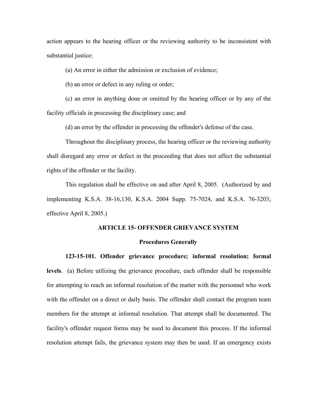action appears to the hearing officer or the reviewing authority to be inconsistent with substantial justice:

(a) An error in either the admission or exclusion of evidence;

(b) an error or defect in any ruling or order;

(c) an error in anything done or omitted by the hearing officer or by any of the facility officials in processing the disciplinary case; and

(d) an error by the offender in processing the offender's defense of the case.

Throughout the disciplinary process, the hearing officer or the reviewing authority shall disregard any error or defect in the proceeding that does not affect the substantial rights of the offender or the facility.

This regulation shall be effective on and after April 8, 2005. (Authorized by and implementing K.S.A. 38-16,130, K.S.A. 2004 Supp. 75-7024, and K.S.A. 76-3203; effective April 8, 2005.)

## **ARTICLE 15- OFFENDER GRIEVANCE SYSTEM**

### **Procedures Generally**

**123-15-101. Offender grievance procedure; informal resolution; formal** 

**levels**. (a) Before utilizing the grievance procedure, each offender shall be responsible for attempting to reach an informal resolution of the matter with the personnel who work with the offender on a direct or daily basis. The offender shall contact the program team members for the attempt at informal resolution. That attempt shall be documented. The facility's offender request forms may be used to document this process. If the informal resolution attempt fails, the grievance system may then be used. If an emergency exists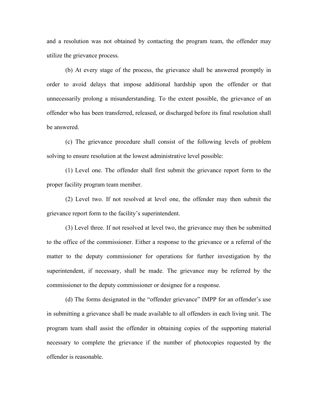and a resolution was not obtained by contacting the program team, the offender may utilize the grievance process.

(b) At every stage of the process, the grievance shall be answered promptly in order to avoid delays that impose additional hardship upon the offender or that unnecessarily prolong a misunderstanding. To the extent possible, the grievance of an offender who has been transferred, released, or discharged before its final resolution shall be answered.

(c) The grievance procedure shall consist of the following levels of problem solving to ensure resolution at the lowest administrative level possible:

(1) Level one. The offender shall first submit the grievance report form to the proper facility program team member.

(2) Level two. If not resolved at level one, the offender may then submit the grievance report form to the facility's superintendent.

(3) Level three. If not resolved at level two, the grievance may then be submitted to the office of the commissioner. Either a response to the grievance or a referral of the matter to the deputy commissioner for operations for further investigation by the superintendent, if necessary, shall be made. The grievance may be referred by the commissioner to the deputy commissioner or designee for a response.

(d) The forms designated in the "offender grievance" IMPP for an offender's use in submitting a grievance shall be made available to all offenders in each living unit. The program team shall assist the offender in obtaining copies of the supporting material necessary to complete the grievance if the number of photocopies requested by the offender is reasonable.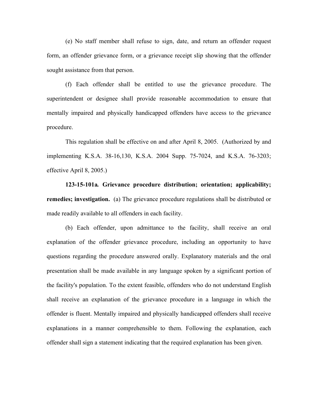(e) No staff member shall refuse to sign, date, and return an offender request form, an offender grievance form, or a grievance receipt slip showing that the offender sought assistance from that person.

(f) Each offender shall be entitled to use the grievance procedure. The superintendent or designee shall provide reasonable accommodation to ensure that mentally impaired and physically handicapped offenders have access to the grievance procedure.

This regulation shall be effective on and after April 8, 2005. (Authorized by and implementing K.S.A. 38-16,130, K.S.A. 2004 Supp. 75-7024, and K.S.A. 76-3203; effective April 8, 2005.)

**123-15-101a***.* **Grievance procedure distribution; orientation; applicability; remedies; investigation.** (a) The grievance procedure regulations shall be distributed or made readily available to all offenders in each facility.

(b) Each offender, upon admittance to the facility, shall receive an oral explanation of the offender grievance procedure, including an opportunity to have questions regarding the procedure answered orally. Explanatory materials and the oral presentation shall be made available in any language spoken by a significant portion of the facility's population. To the extent feasible, offenders who do not understand English shall receive an explanation of the grievance procedure in a language in which the offender is fluent. Mentally impaired and physically handicapped offenders shall receive explanations in a manner comprehensible to them. Following the explanation, each offender shall sign a statement indicating that the required explanation has been given.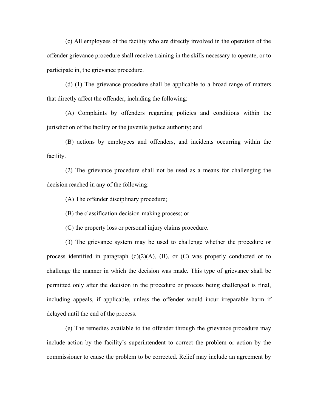(c) All employees of the facility who are directly involved in the operation of the offender grievance procedure shall receive training in the skills necessary to operate, or to participate in, the grievance procedure.

(d) (1) The grievance procedure shall be applicable to a broad range of matters that directly affect the offender, including the following:

(A) Complaints by offenders regarding policies and conditions within the jurisdiction of the facility or the juvenile justice authority; and

(B) actions by employees and offenders, and incidents occurring within the facility.

(2) The grievance procedure shall not be used as a means for challenging the decision reached in any of the following:

(A) The offender disciplinary procedure;

(B) the classification decision-making process; or

(C) the property loss or personal injury claims procedure.

(3) The grievance system may be used to challenge whether the procedure or process identified in paragraph  $(d)(2)(A)$ ,  $(B)$ , or  $(C)$  was properly conducted or to challenge the manner in which the decision was made. This type of grievance shall be permitted only after the decision in the procedure or process being challenged is final, including appeals, if applicable, unless the offender would incur irreparable harm if delayed until the end of the process.

(e) The remedies available to the offender through the grievance procedure may include action by the facility's superintendent to correct the problem or action by the commissioner to cause the problem to be corrected. Relief may include an agreement by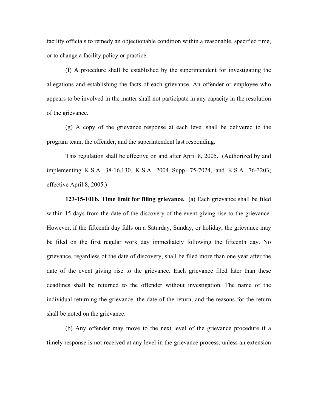facility officials to remedy an objectionable condition within a reasonable, specified time, or to change a facility policy or practice.

(f) A procedure shall be established by the superintendent for investigating the allegations and establishing the facts of each grievance. An offender or employee who appears to be involved in the matter shall not participate in any capacity in the resolution of the grievance.

(g) A copy of the grievance response at each level shall be delivered to the program team, the offender, and the superintendent last responding.

This regulation shall be effective on and after April 8, 2005. (Authorized by and implementing K.S.A. 38-16,130, K.S.A. 2004 Supp. 75-7024, and K.S.A. 76-3203; effective April 8, 2005.)

**123-15-101b***.* **Time limit for filing grievance.** (a) Each grievance shall be filed within 15 days from the date of the discovery of the event giving rise to the grievance. However, if the fifteenth day falls on a Saturday, Sunday, or holiday, the grievance may be filed on the first regular work day immediately following the fifteenth day. No grievance, regardless of the date of discovery, shall be filed more than one year after the date of the event giving rise to the grievance. Each grievance filed later than these deadlines shall be returned to the offender without investigation. The name of the individual returning the grievance, the date of the return, and the reasons for the return shall be noted on the grievance.

(b) Any offender may move to the next level of the grievance procedure if a timely response is not received at any level in the grievance process, unless an extension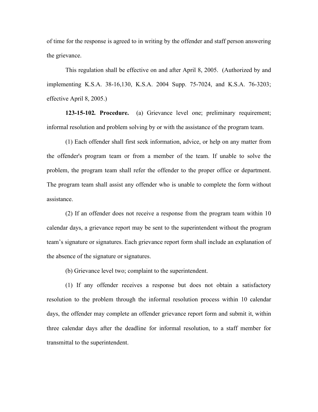of time for the response is agreed to in writing by the offender and staff person answering the grievance.

This regulation shall be effective on and after April 8, 2005. (Authorized by and implementing K.S.A. 38-16,130, K.S.A. 2004 Supp. 75-7024, and K.S.A. 76-3203; effective April 8, 2005.)

**123-15-102***.* **Procedure.** (a) Grievance level one; preliminary requirement; informal resolution and problem solving by or with the assistance of the program team.

(1) Each offender shall first seek information, advice, or help on any matter from the offender's program team or from a member of the team. If unable to solve the problem, the program team shall refer the offender to the proper office or department. The program team shall assist any offender who is unable to complete the form without assistance.

(2) If an offender does not receive a response from the program team within 10 calendar days, a grievance report may be sent to the superintendent without the program team's signature or signatures. Each grievance report form shall include an explanation of the absence of the signature or signatures.

(b) Grievance level two; complaint to the superintendent.

(1) If any offender receives a response but does not obtain a satisfactory resolution to the problem through the informal resolution process within 10 calendar days, the offender may complete an offender grievance report form and submit it, within three calendar days after the deadline for informal resolution, to a staff member for transmittal to the superintendent.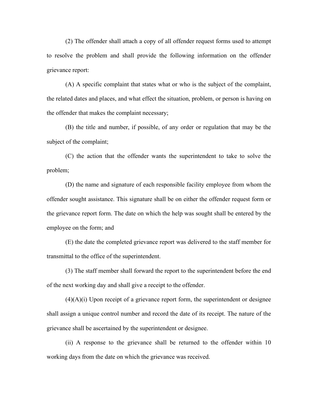(2) The offender shall attach a copy of all offender request forms used to attempt to resolve the problem and shall provide the following information on the offender grievance report:

(A) A specific complaint that states what or who is the subject of the complaint, the related dates and places, and what effect the situation, problem, or person is having on the offender that makes the complaint necessary;

(B) the title and number, if possible, of any order or regulation that may be the subject of the complaint;

(C) the action that the offender wants the superintendent to take to solve the problem;

(D) the name and signature of each responsible facility employee from whom the offender sought assistance. This signature shall be on either the offender request form or the grievance report form. The date on which the help was sought shall be entered by the employee on the form; and

(E) the date the completed grievance report was delivered to the staff member for transmittal to the office of the superintendent.

(3) The staff member shall forward the report to the superintendent before the end of the next working day and shall give a receipt to the offender.

 $(4)(A)(i)$  Upon receipt of a grievance report form, the superintendent or designee shall assign a unique control number and record the date of its receipt. The nature of the grievance shall be ascertained by the superintendent or designee.

(ii) A response to the grievance shall be returned to the offender within 10 working days from the date on which the grievance was received.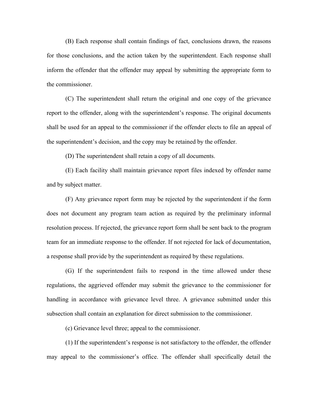(B) Each response shall contain findings of fact, conclusions drawn, the reasons for those conclusions, and the action taken by the superintendent. Each response shall inform the offender that the offender may appeal by submitting the appropriate form to the commissioner.

(C) The superintendent shall return the original and one copy of the grievance report to the offender, along with the superintendent's response. The original documents shall be used for an appeal to the commissioner if the offender elects to file an appeal of the superintendent's decision, and the copy may be retained by the offender.

(D) The superintendent shall retain a copy of all documents.

(E) Each facility shall maintain grievance report files indexed by offender name and by subject matter.

(F) Any grievance report form may be rejected by the superintendent if the form does not document any program team action as required by the preliminary informal resolution process. If rejected, the grievance report form shall be sent back to the program team for an immediate response to the offender. If not rejected for lack of documentation, a response shall provide by the superintendent as required by these regulations.

(G) If the superintendent fails to respond in the time allowed under these regulations, the aggrieved offender may submit the grievance to the commissioner for handling in accordance with grievance level three. A grievance submitted under this subsection shall contain an explanation for direct submission to the commissioner.

(c) Grievance level three; appeal to the commissioner.

(1) If the superintendent's response is not satisfactory to the offender, the offender may appeal to the commissioner's office. The offender shall specifically detail the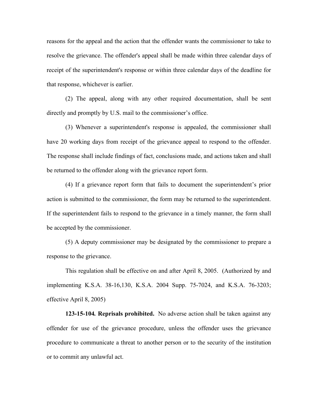reasons for the appeal and the action that the offender wants the commissioner to take to resolve the grievance. The offender's appeal shall be made within three calendar days of receipt of the superintendent's response or within three calendar days of the deadline for that response, whichever is earlier.

(2) The appeal, along with any other required documentation, shall be sent directly and promptly by U.S. mail to the commissioner's office.

(3) Whenever a superintendent's response is appealed, the commissioner shall have 20 working days from receipt of the grievance appeal to respond to the offender. The response shall include findings of fact, conclusions made, and actions taken and shall be returned to the offender along with the grievance report form.

(4) If a grievance report form that fails to document the superintendent's prior action is submitted to the commissioner, the form may be returned to the superintendent. If the superintendent fails to respond to the grievance in a timely manner, the form shall be accepted by the commissioner.

(5) A deputy commissioner may be designated by the commissioner to prepare a response to the grievance.

This regulation shall be effective on and after April 8, 2005. (Authorized by and implementing K.S.A. 38-16,130, K.S.A. 2004 Supp. 75-7024, and K.S.A. 76-3203; effective April 8, 2005)

**123-15-104***.* **Reprisals prohibited.** No adverse action shall be taken against any offender for use of the grievance procedure, unless the offender uses the grievance procedure to communicate a threat to another person or to the security of the institution or to commit any unlawful act.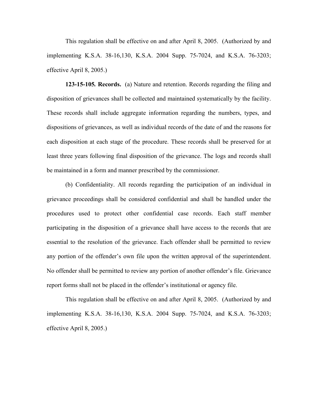This regulation shall be effective on and after April 8, 2005. (Authorized by and implementing K.S.A. 38-16,130, K.S.A. 2004 Supp. 75-7024, and K.S.A. 76-3203; effective April 8, 2005.)

**123-15-105***.* **Records.** (a) Nature and retention. Records regarding the filing and disposition of grievances shall be collected and maintained systematically by the facility. These records shall include aggregate information regarding the numbers, types, and dispositions of grievances, as well as individual records of the date of and the reasons for each disposition at each stage of the procedure. These records shall be preserved for at least three years following final disposition of the grievance. The logs and records shall be maintained in a form and manner prescribed by the commissioner.

(b) Confidentiality. All records regarding the participation of an individual in grievance proceedings shall be considered confidential and shall be handled under the procedures used to protect other confidential case records. Each staff member participating in the disposition of a grievance shall have access to the records that are essential to the resolution of the grievance. Each offender shall be permitted to review any portion of the offender's own file upon the written approval of the superintendent. No offender shall be permitted to review any portion of another offender's file. Grievance report forms shall not be placed in the offender's institutional or agency file.

This regulation shall be effective on and after April 8, 2005. (Authorized by and implementing K.S.A. 38-16,130, K.S.A. 2004 Supp. 75-7024, and K.S.A. 76-3203; effective April 8, 2005.)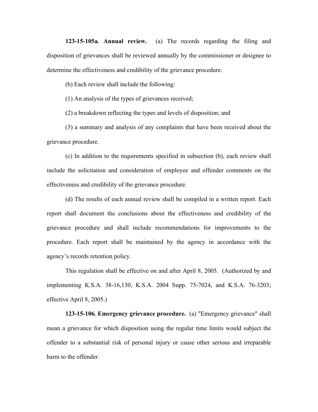**123-15-105a***.* **Annual review.** (a) The records regarding the filing and disposition of grievances shall be reviewed annually by the commissioner or designee to determine the effectiveness and credibility of the grievance procedure.

(b) Each review shall include the following:

(1) An analysis of the types of grievances received;

(2) a breakdown reflecting the types and levels of disposition; and

(3) a summary and analysis of any complaints that have been received about the grievance procedure.

(c) In addition to the requirements specified in subsection (b), each review shall include the solicitation and consideration of employee and offender comments on the effectiveness and credibility of the grievance procedure.

(d) The results of each annual review shall be compiled in a written report. Each report shall document the conclusions about the effectiveness and credibility of the grievance procedure and shall include recommendations for improvements to the procedure. Each report shall be maintained by the agency in accordance with the agency's records retention policy.

This regulation shall be effective on and after April 8, 2005. (Authorized by and implementing K.S.A. 38-16,130, K.S.A. 2004 Supp. 75-7024, and K.S.A. 76-3203; effective April 8, 2005.)

**123-15-106***.* **Emergency grievance procedure.** (a) "Emergency grievance" shall mean a grievance for which disposition using the regular time limits would subject the offender to a substantial risk of personal injury or cause other serious and irreparable harm to the offender.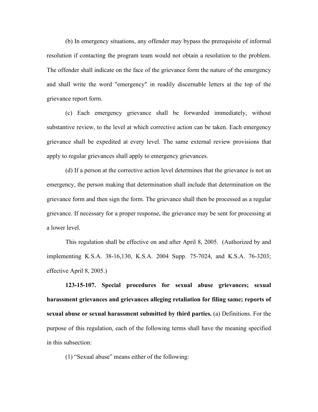(b) In emergency situations, any offender may bypass the prerequisite of informal resolution if contacting the program team would not obtain a resolution to the problem. The offender shall indicate on the face of the grievance form the nature of the emergency and shall write the word "emergency" in readily discernable letters at the top of the grievance report form.

(c) Each emergency grievance shall be forwarded immediately, without substantive review, to the level at which corrective action can be taken. Each emergency grievance shall be expedited at every level. The same external review provisions that apply to regular grievances shall apply to emergency grievances.

(d) If a person at the corrective action level determines that the grievance is not an emergency, the person making that determination shall include that determination on the grievance form and then sign the form. The grievance shall then be processed as a regular grievance. If necessary for a proper response, the grievance may be sent for processing at a lower level.

This regulation shall be effective on and after April 8, 2005. (Authorized by and implementing K.S.A. 38-16,130, K.S.A. 2004 Supp. 75-7024, and K.S.A. 76-3203; effective April 8, 2005.)

**123-15-107. Special procedures for sexual abuse grievances; sexual harassment grievances and grievances alleging retaliation for filing same; reports of sexual abuse or sexual harassment submitted by third parties.** (a) Definitions. For the purpose of this regulation, each of the following terms shall have the meaning specified in this subsection:

(1) "Sexual abuse" means either of the following: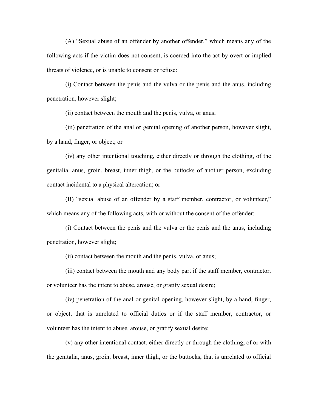(A) "Sexual abuse of an offender by another offender," which means any of the following acts if the victim does not consent, is coerced into the act by overt or implied threats of violence, or is unable to consent or refuse:

(i) Contact between the penis and the vulva or the penis and the anus, including penetration, however slight;

(ii) contact between the mouth and the penis, vulva, or anus;

(iii) penetration of the anal or genital opening of another person, however slight, by a hand, finger, or object; or

(iv) any other intentional touching, either directly or through the clothing, of the genitalia, anus, groin, breast, inner thigh, or the buttocks of another person, excluding contact incidental to a physical altercation; or

(B) "sexual abuse of an offender by a staff member, contractor, or volunteer," which means any of the following acts, with or without the consent of the offender:

(i) Contact between the penis and the vulva or the penis and the anus, including penetration, however slight;

(ii) contact between the mouth and the penis, vulva, or anus;

(iii) contact between the mouth and any body part if the staff member, contractor, or volunteer has the intent to abuse, arouse, or gratify sexual desire;

(iv) penetration of the anal or genital opening, however slight, by a hand, finger, or object, that is unrelated to official duties or if the staff member, contractor, or volunteer has the intent to abuse, arouse, or gratify sexual desire;

(v) any other intentional contact, either directly or through the clothing, of or with the genitalia, anus, groin, breast, inner thigh, or the buttocks, that is unrelated to official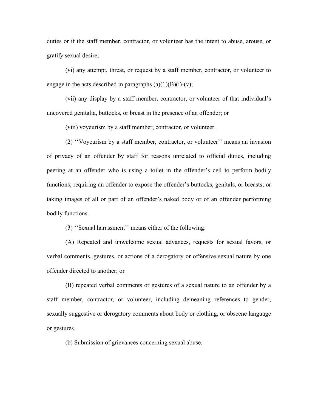duties or if the staff member, contractor, or volunteer has the intent to abuse, arouse, or gratify sexual desire;

(vi) any attempt, threat, or request by a staff member, contractor, or volunteer to engage in the acts described in paragraphs  $(a)(1)(B)(i)-(v)$ ;

(vii) any display by a staff member, contractor, or volunteer of that individual's uncovered genitalia, buttocks, or breast in the presence of an offender; or

(viii) voyeurism by a staff member, contractor, or volunteer.

(2) ''Voyeurism by a staff member, contractor, or volunteer'' means an invasion of privacy of an offender by staff for reasons unrelated to official duties, including peering at an offender who is using a toilet in the offender's cell to perform bodily functions; requiring an offender to expose the offender's buttocks, genitals, or breasts; or taking images of all or part of an offender's naked body or of an offender performing bodily functions.

(3) ''Sexual harassment'' means either of the following:

(A) Repeated and unwelcome sexual advances, requests for sexual favors, or verbal comments, gestures, or actions of a derogatory or offensive sexual nature by one offender directed to another; or

(B) repeated verbal comments or gestures of a sexual nature to an offender by a staff member, contractor, or volunteer, including demeaning references to gender, sexually suggestive or derogatory comments about body or clothing, or obscene language or gestures.

(b) Submission of grievances concerning sexual abuse.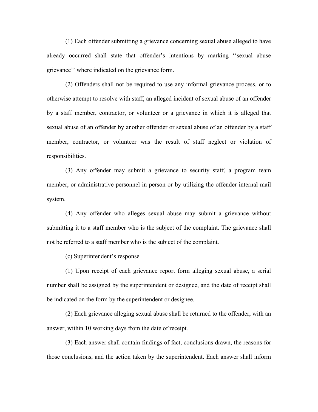(1) Each offender submitting a grievance concerning sexual abuse alleged to have already occurred shall state that offender's intentions by marking ''sexual abuse grievance'' where indicated on the grievance form.

(2) Offenders shall not be required to use any informal grievance process, or to otherwise attempt to resolve with staff, an alleged incident of sexual abuse of an offender by a staff member, contractor, or volunteer or a grievance in which it is alleged that sexual abuse of an offender by another offender or sexual abuse of an offender by a staff member, contractor, or volunteer was the result of staff neglect or violation of responsibilities.

(3) Any offender may submit a grievance to security staff, a program team member, or administrative personnel in person or by utilizing the offender internal mail system.

(4) Any offender who alleges sexual abuse may submit a grievance without submitting it to a staff member who is the subject of the complaint. The grievance shall not be referred to a staff member who is the subject of the complaint.

(c) Superintendent's response.

(1) Upon receipt of each grievance report form alleging sexual abuse, a serial number shall be assigned by the superintendent or designee, and the date of receipt shall be indicated on the form by the superintendent or designee.

(2) Each grievance alleging sexual abuse shall be returned to the offender, with an answer, within 10 working days from the date of receipt.

(3) Each answer shall contain findings of fact, conclusions drawn, the reasons for those conclusions, and the action taken by the superintendent. Each answer shall inform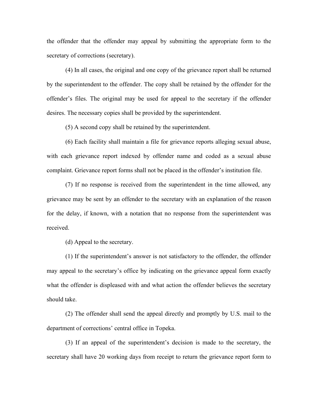the offender that the offender may appeal by submitting the appropriate form to the secretary of corrections (secretary).

(4) In all cases, the original and one copy of the grievance report shall be returned by the superintendent to the offender. The copy shall be retained by the offender for the offender's files. The original may be used for appeal to the secretary if the offender desires. The necessary copies shall be provided by the superintendent.

(5) A second copy shall be retained by the superintendent.

(6) Each facility shall maintain a file for grievance reports alleging sexual abuse, with each grievance report indexed by offender name and coded as a sexual abuse complaint. Grievance report forms shall not be placed in the offender's institution file.

(7) If no response is received from the superintendent in the time allowed, any grievance may be sent by an offender to the secretary with an explanation of the reason for the delay, if known, with a notation that no response from the superintendent was received.

(d) Appeal to the secretary.

(1) If the superintendent's answer is not satisfactory to the offender, the offender may appeal to the secretary's office by indicating on the grievance appeal form exactly what the offender is displeased with and what action the offender believes the secretary should take.

(2) The offender shall send the appeal directly and promptly by U.S. mail to the department of corrections' central office in Topeka.

(3) If an appeal of the superintendent's decision is made to the secretary, the secretary shall have 20 working days from receipt to return the grievance report form to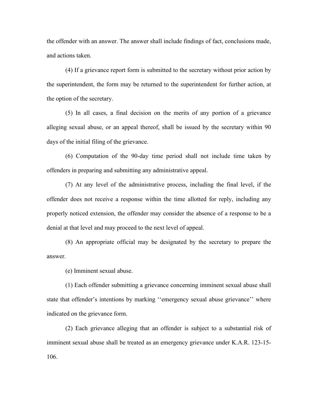the offender with an answer. The answer shall include findings of fact, conclusions made, and actions taken.

(4) If a grievance report form is submitted to the secretary without prior action by the superintendent, the form may be returned to the superintendent for further action, at the option of the secretary.

(5) In all cases, a final decision on the merits of any portion of a grievance alleging sexual abuse, or an appeal thereof, shall be issued by the secretary within 90 days of the initial filing of the grievance.

(6) Computation of the 90-day time period shall not include time taken by offenders in preparing and submitting any administrative appeal.

(7) At any level of the administrative process, including the final level, if the offender does not receive a response within the time allotted for reply, including any properly noticed extension, the offender may consider the absence of a response to be a denial at that level and may proceed to the next level of appeal.

(8) An appropriate official may be designated by the secretary to prepare the answer.

(e) Imminent sexual abuse.

(1) Each offender submitting a grievance concerning imminent sexual abuse shall state that offender's intentions by marking ''emergency sexual abuse grievance'' where indicated on the grievance form.

(2) Each grievance alleging that an offender is subject to a substantial risk of imminent sexual abuse shall be treated as an emergency grievance under K.A.R. 123-15- 106.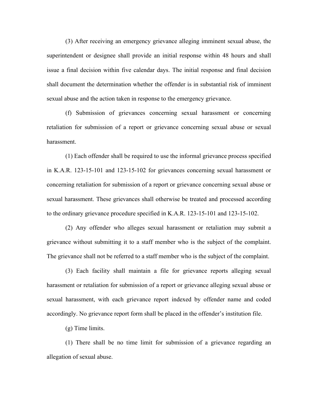(3) After receiving an emergency grievance alleging imminent sexual abuse, the superintendent or designee shall provide an initial response within 48 hours and shall issue a final decision within five calendar days. The initial response and final decision shall document the determination whether the offender is in substantial risk of imminent sexual abuse and the action taken in response to the emergency grievance.

(f) Submission of grievances concerning sexual harassment or concerning retaliation for submission of a report or grievance concerning sexual abuse or sexual harassment.

(1) Each offender shall be required to use the informal grievance process specified in K.A.R. 123-15-101 and 123-15-102 for grievances concerning sexual harassment or concerning retaliation for submission of a report or grievance concerning sexual abuse or sexual harassment. These grievances shall otherwise be treated and processed according to the ordinary grievance procedure specified in K.A.R. 123-15-101 and 123-15-102.

(2) Any offender who alleges sexual harassment or retaliation may submit a grievance without submitting it to a staff member who is the subject of the complaint. The grievance shall not be referred to a staff member who is the subject of the complaint.

(3) Each facility shall maintain a file for grievance reports alleging sexual harassment or retaliation for submission of a report or grievance alleging sexual abuse or sexual harassment, with each grievance report indexed by offender name and coded accordingly. No grievance report form shall be placed in the offender's institution file.

(g) Time limits.

(1) There shall be no time limit for submission of a grievance regarding an allegation of sexual abuse.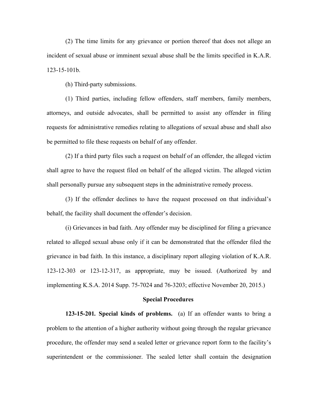(2) The time limits for any grievance or portion thereof that does not allege an incident of sexual abuse or imminent sexual abuse shall be the limits specified in K.A.R. 123-15-101b.

(h) Third-party submissions.

(1) Third parties, including fellow offenders, staff members, family members, attorneys, and outside advocates, shall be permitted to assist any offender in filing requests for administrative remedies relating to allegations of sexual abuse and shall also be permitted to file these requests on behalf of any offender.

(2) If a third party files such a request on behalf of an offender, the alleged victim shall agree to have the request filed on behalf of the alleged victim. The alleged victim shall personally pursue any subsequent steps in the administrative remedy process.

(3) If the offender declines to have the request processed on that individual's behalf, the facility shall document the offender's decision.

(i) Grievances in bad faith. Any offender may be disciplined for filing a grievance related to alleged sexual abuse only if it can be demonstrated that the offender filed the grievance in bad faith. In this instance, a disciplinary report alleging violation of K.A.R. 123-12-303 or 123-12-317, as appropriate, may be issued. (Authorized by and implementing K.S.A. 2014 Supp. 75-7024 and 76-3203; effective November 20, 2015.)

## **Special Procedures**

**123-15-201***.* **Special kinds of problems.** (a) If an offender wants to bring a problem to the attention of a higher authority without going through the regular grievance procedure, the offender may send a sealed letter or grievance report form to the facility's superintendent or the commissioner. The sealed letter shall contain the designation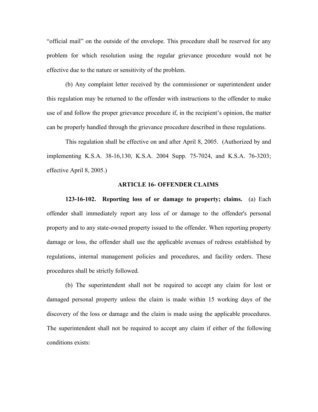"official mail" on the outside of the envelope. This procedure shall be reserved for any problem for which resolution using the regular grievance procedure would not be effective due to the nature or sensitivity of the problem.

(b) Any complaint letter received by the commissioner or superintendent under this regulation may be returned to the offender with instructions to the offender to make use of and follow the proper grievance procedure if, in the recipient's opinion, the matter can be properly handled through the grievance procedure described in these regulations.

This regulation shall be effective on and after April 8, 2005. (Authorized by and implementing K.S.A. 38-16,130, K.S.A. 2004 Supp. 75-7024, and K.S.A. 76-3203; effective April 8, 2005.)

## **ARTICLE 16- OFFENDER CLAIMS**

**123-16-102. Reporting loss of or damage to property; claims.** (a) Each offender shall immediately report any loss of or damage to the offender's personal property and to any state-owned property issued to the offender. When reporting property damage or loss, the offender shall use the applicable avenues of redress established by regulations, internal management policies and procedures, and facility orders. These procedures shall be strictly followed.

(b) The superintendent shall not be required to accept any claim for lost or damaged personal property unless the claim is made within 15 working days of the discovery of the loss or damage and the claim is made using the applicable procedures. The superintendent shall not be required to accept any claim if either of the following conditions exists: